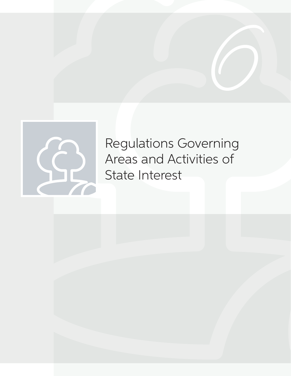



Regulations Governing Areas and Activities of State Interest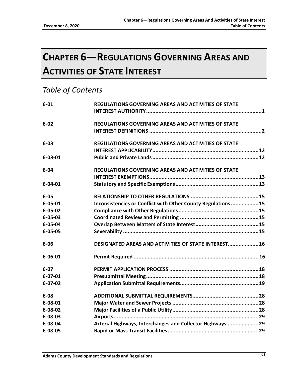# **CHAPTER 6—REGULATIONS GOVERNING AREAS AND ACTIVITIES OF STATE INTEREST**

# *Table of Contents*

| $6 - 01$      | REGULATIONS GOVERNING AREAS AND ACTIVITIES OF STATE         |
|---------------|-------------------------------------------------------------|
|               |                                                             |
| $6 - 02$      | <b>REGULATIONS GOVERNING AREAS AND ACTIVITIES OF STATE</b>  |
|               |                                                             |
| $6 - 03$      | <b>REGULATIONS GOVERNING AREAS AND ACTIVITIES OF STATE</b>  |
|               |                                                             |
| $6 - 03 - 01$ |                                                             |
| $6 - 04$      | <b>REGULATIONS GOVERNING AREAS AND ACTIVITIES OF STATE</b>  |
|               |                                                             |
| $6 - 04 - 01$ |                                                             |
| $6 - 05$      |                                                             |
| $6 - 05 - 01$ | Inconsistencies or Conflict with Other County Regulations15 |
| $6 - 05 - 02$ |                                                             |
| $6 - 05 - 03$ |                                                             |
| $6 - 05 - 04$ |                                                             |
| $6 - 05 - 05$ |                                                             |
| $6 - 06$      | DESIGNATED AREAS AND ACTIVITIES OF STATE INTEREST 16        |
| $6 - 06 - 01$ |                                                             |
| $6 - 07$      |                                                             |
| $6 - 07 - 01$ |                                                             |
| $6 - 07 - 02$ |                                                             |
| $6 - 08$      |                                                             |
| $6 - 08 - 01$ |                                                             |
| $6 - 08 - 02$ |                                                             |
| $6 - 08 - 03$ |                                                             |
| $6 - 08 - 04$ | Arterial Highways, Interchanges and Collector Highways29    |
| $6 - 08 - 05$ |                                                             |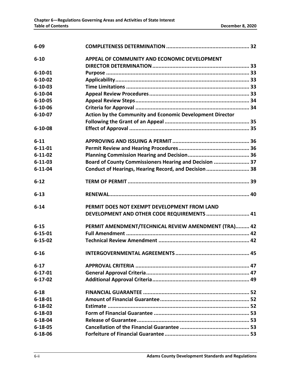| $6 - 09$      |                                                           |
|---------------|-----------------------------------------------------------|
| $6 - 10$      | APPEAL OF COMMUNITY AND ECONOMIC DEVELOPMENT              |
|               |                                                           |
| $6 - 10 - 01$ |                                                           |
| $6 - 10 - 02$ |                                                           |
| $6 - 10 - 03$ |                                                           |
| $6 - 10 - 04$ |                                                           |
| $6 - 10 - 05$ |                                                           |
| $6 - 10 - 06$ |                                                           |
| $6 - 10 - 07$ | Action by the Community and Economic Development Director |
|               |                                                           |
| $6 - 10 - 08$ |                                                           |
| $6 - 11$      |                                                           |
| $6 - 11 - 01$ |                                                           |
| $6 - 11 - 02$ |                                                           |
| $6 - 11 - 03$ | Board of County Commissioners Hearing and Decision  37    |
| $6 - 11 - 04$ | Conduct of Hearings, Hearing Record, and Decision  38     |
| $6 - 12$      |                                                           |
| $6 - 13$      |                                                           |
| $6 - 14$      | PERMIT DOES NOT EXEMPT DEVELOPMENT FROM LAND              |
|               | DEVELOPMENT AND OTHER CODE REQUIREMENTS  41               |
| $6 - 15$      | PERMIT AMENDMENT/TECHNICAL REVIEW AMENDMENT (TRA) 42      |
| $6 - 15 - 01$ |                                                           |
| $6 - 15 - 02$ |                                                           |
| $6 - 16$      |                                                           |
| $6 - 17$      |                                                           |
| $6 - 17 - 01$ |                                                           |
| $6 - 17 - 02$ |                                                           |
| $6 - 18$      |                                                           |
| $6 - 18 - 01$ |                                                           |
| $6 - 18 - 02$ |                                                           |
| $6 - 18 - 03$ |                                                           |
| $6 - 18 - 04$ |                                                           |
| $6 - 18 - 05$ |                                                           |
| $6 - 18 - 06$ |                                                           |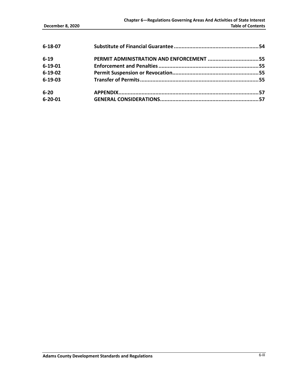| $6 - 18 - 07$ |                                          |  |
|---------------|------------------------------------------|--|
| $6 - 19$      | PERMIT ADMINISTRATION AND ENFORCEMENT 55 |  |
| $6 - 19 - 01$ |                                          |  |
| $6 - 19 - 02$ |                                          |  |
| $6 - 19 - 03$ |                                          |  |
| $6 - 20$      |                                          |  |
| $6 - 20 - 01$ |                                          |  |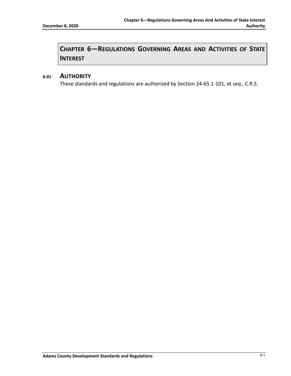# **CHAPTER 6—REGULATIONS GOVERNING AREAS AND ACTIVITIES OF STATE INTEREST**

### <span id="page-5-0"></span>**6-01 AUTHORITY**

These standards and regulations are authorized by Section 24-65.1-101, et seq., C.R.S.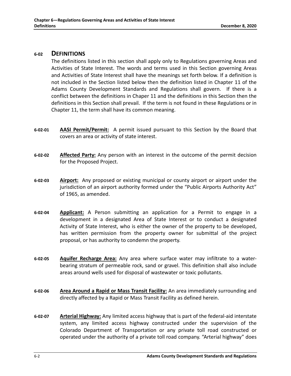### <span id="page-6-0"></span>**6-02 DEFINITIONS**

The definitions listed in this section shall apply only to Regulations governing Areas and Activities of State Interest. The words and terms used in this Section governing Areas and Activities of State Interest shall have the meanings set forth below. If a definition is not included in the Section listed below then the definition listed in Chapter 11 of the Adams County Development Standards and Regulations shall govern. If there is a conflict between the definitions in Chaper 11 and the definitions in this Section then the definitions in this Section shall prevail. If the term is not found in these Regulations or in Chapter 11, the term shall have its common meaning.

- **6-02-01 AASI Permit/Permit:** A permit issued pursuant to this Section by the Board that covers an area or activity of state interest.
- **6-02-02 Affected Party:** Any person with an interest in the outcome of the permit decision for the Proposed Project.
- **6-02-03 Airport:** Any proposed or existing municipal or county airport or airport under the jurisdiction of an airport authority formed under the "Public Airports Authority Act" of 1965, as amended.
- **6-02-04 Applicant:** A Person submitting an application for a Permit to engage in a development in a designated Area of State Interest or to conduct a designated Activity of State Interest, who is either the owner of the property to be developed, has written permission from the property owner for submittal of the project proposal, or has authority to condemn the property.
- **6-02-05 Aquifer Recharge Area:** Any area where surface water may infiltrate to a waterbearing stratum of permeable rock, sand or gravel. This definition shall also include areas around wells used for disposal of wastewater or toxic pollutants.
- **6-02-06 Area Around a Rapid or Mass Transit Facility:** An area immediately surrounding and directly affected by a Rapid or Mass Transit Facility as defined herein.
- **6-02-07 Arterial Highway:** Any limited access highway that is part of the federal-aid interstate system, any limited access highway constructed under the supervision of the Colorado Department of Transportation or any private toll road constructed or operated under the authority of a private toll road company. "Arterial highway" does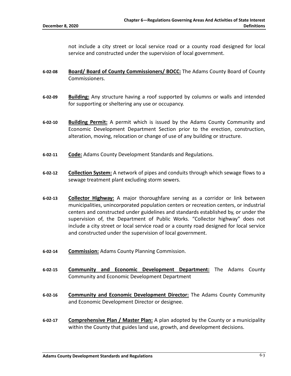not include a city street or local service road or a county road designed for local service and constructed under the supervision of local government.

- **6-02-08 Board/ Board of County Commissioners/ BOCC:** The Adams County Board of County Commissioners.
- **6-02-09 Building:** Any structure having a roof supported by columns or walls and intended for supporting or sheltering any use or occupancy.
- **6-02-10 Building Permit:** A permit which is issued by the Adams County Community and Economic Development Department Section prior to the erection, construction, alteration, moving, relocation or change of use of any building or structure.
- **6-02-11 Code:** Adams County Development Standards and Regulations.
- **6-02-12 Collection System:** A network of pipes and conduits through which sewage flows to a sewage treatment plant excluding storm sewers.
- **6-02-13 Collector Highway:** A major thoroughfare serving as a corridor or link between municipalities, unincorporated population centers or recreation centers, or industrial centers and constructed under guidelines and standards established by, or under the supervision of, the Department of Public Works. "Collector highway" does not include a city street or local service road or a county road designed for local service and constructed under the supervision of local government.
- **6-02-14 Commission:** Adams County Planning Commission.
- **6-02-15 Community and Economic Development Department:** The Adams County Community and Economic Development Department
- **6-02-16 Community and Economic Development Director:** The Adams County Community and Economic Development Director or designee.
- **6-02-17 Comprehensive Plan / Master Plan:** A plan adopted by the County or a municipality within the County that guides land use, growth, and development decisions.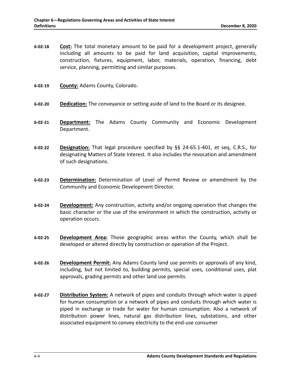- **6-02-18 Cost:** The total monetary amount to be paid for a development project, generally including all amounts to be paid for land acquisition, capital improvements, construction, fixtures, equipment, labor, materials, operation, financing, debt service, planning, permitting and similar purposes.
- **6-02-19 County:** Adams County, Colorado.
- **6-02-20 Dedication:** The conveyance or setting aside of land to the Board or its designee.
- **6-02-21 Department:** The Adams County Community and Economic Development Department.
- **6-02-22 Designation:** That legal procedure specified by §§ 24-65.1-401, et seq, C.R.S., for designating Matters of State Interest. It also includes the revocation and amendment of such designations.
- **6-02-23 Determination:** Determination of Level of Permit Review or amendment by the Community and Economic Development Director.
- **6-02-24 Development:** Any construction, activity and/or ongoing operation that changes the basic character or the use of the environment in which the construction, activity or operation occurs.
- **6-02-25 Development Area:** Those geographic areas within the County, which shall be developed or altered directly by construction or operation of the Project.
- **6-02-26 Development Permit:** Any Adams County land use permits or approvals of any kind, including, but not limited to, building permits, special uses, conditional uses, plat approvals, grading permits and other land use permits.
- **6-02-27 Distribution System:** A network of pipes and conduits through which water is piped for human consumption or a network of pipes and conduits through which water is piped in exchange or trade for water for human consumption. Also a network of distribution power lines, natural gas distribution lines, substations, and other associated equipment to convey electricity to the end-use consumer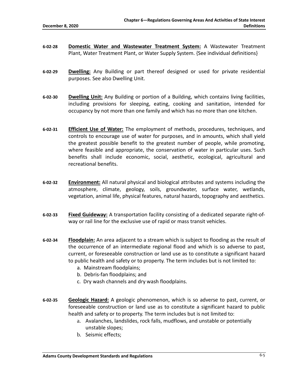- **6-02-28 Domestic Water and Wastewater Treatment System:** A Wastewater Treatment Plant, Water Treatment Plant, or Water Supply System. {See individual definitions}
- **6-02-29 Dwelling:** Any Building or part thereof designed or used for private residential purposes. See also Dwelling Unit.
- **6-02-30 Dwelling Unit:** Any Building or portion of a Building, which contains living facilities, including provisions for sleeping, eating, cooking and sanitation, intended for occupancy by not more than one family and which has no more than one kitchen.
- **6-02-31 Efficient Use of Water:** The employment of methods, procedures, techniques, and controls to encourage use of water for purposes, and in amounts, which shall yield the greatest possible benefit to the greatest number of people, while promoting, where feasible and appropriate, the conservation of water in particular uses. Such benefits shall include economic, social, aesthetic, ecological, agricultural and recreational benefits.
- **6-02-32 Environment:** All natural physical and biological attributes and systems including the atmosphere, climate, geology, soils, groundwater, surface water, wetlands, vegetation, animal life, physical features, natural hazards, topography and aesthetics.
- **6-02-33 Fixed Guideway:** A transportation facility consisting of a dedicated separate right-ofway or rail line for the exclusive use of rapid or mass transit vehicles.
- **6-02-34 Floodplain:** An area adjacent to a stream which is subject to flooding as the result of the occurrence of an intermediate regional flood and which is so adverse to past, current, or foreseeable construction or land use as to constitute a significant hazard to public health and safety or to property. The term includes but is not limited to:
	- a. Mainstream floodplains;
	- b. Debris-fan floodplains; and
	- c. Dry wash channels and dry wash floodplains.
- **6-02-35 Geologic Hazard:** A geologic phenomenon, which is so adverse to past, current, or foreseeable construction or land use as to constitute a significant hazard to public health and safety or to property. The term includes but is not limited to:
	- a. Avalanches, landslides, rock falls, mudflows, and unstable or potentially unstable slopes;
	- b. Seismic effects;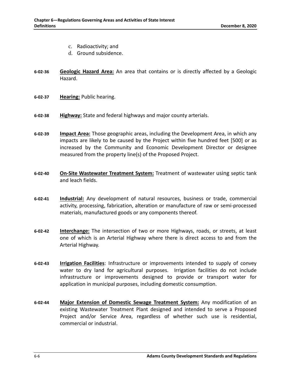- c. Radioactivity; and
- d. Ground subsidence.
- **6-02-36 Geologic Hazard Area:** An area that contains or is directly affected by a Geologic Hazard.
- **6-02-37 Hearing:** Public hearing.
- **6-02-38 Highway:** State and federal highways and major county arterials.
- **6-02-39 Impact Area:** Those geographic areas, including the Development Area, in which any impacts are likely to be caused by the Project within five hundred feet [500] or as increased by the Community and Economic Development Director or designee measured from the property line(s) of the Proposed Project.
- **6-02-40 On-Site Wastewater Treatment System:** Treatment of wastewater using septic tank and leach fields.
- **6-02-41 Industrial:** Any development of natural resources, business or trade, commercial activity, processing, fabrication, alteration or manufacture of raw or semi-processed materials, manufactured goods or any components thereof.
- **6-02-42 Interchange:** The intersection of two or more Highways, roads, or streets, at least one of which is an Arterial Highway where there is direct access to and from the Arterial Highway.
- **6-02-43 Irrigation Facilities**: Infrastructure or improvements intended to supply of convey water to dry land for agricultural purposes. Irrigation facilities do not include infrastructure or improvements designed to provide or transport water for application in municipal purposes, including domestic consumption.
- **6-02-44 Major Extension of Domestic Sewage Treatment System:** Any modification of an existing Wastewater Treatment Plant designed and intended to serve a Proposed Project and/or Service Area, regardless of whether such use is residential, commercial or industrial.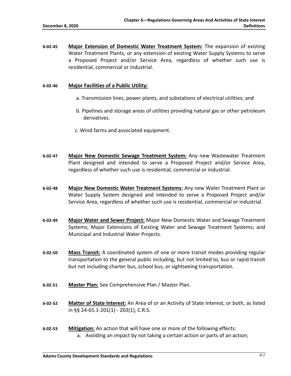**6-02-45 Major Extension of Domestic Water Treatment System:** The expansion of existing Water Treatment Plants, or any extension of existing Water Supply Systems to serve a Proposed Project and/or Service Area, regardless of whether such use is residential, commercial or industrial.

#### **6-02-46 Major Facilities of a Public Utility:**

- a. Transmission lines, power plants, and substations of electrical utilities; and
- b. Pipelines and storage areas of utilities providing natural gas or other petroleum derivatives.
- c. Wind farms and associated equipment.
- **6-02-47 Major New Domestic Sewage Treatment System:** Any new Wastewater Treatment Plant designed and intended to serve a Proposed Project and/or Service Area, regardless of whether such use is residential, commercial or industrial.
- **6-02-48 Major New Domestic Water Treatment Systems:** Any new Water Treatment Plant or Water Supply System designed and intended to serve a Proposed Project and/or Service Area, regardless of whether such use is residential, commercial or industrial.
- **6-02-49 Major Water and Sewer Project:** Major New Domestic Water and Sewage Treatment Systems; Major Extensions of Existing Water and Sewage Treatment Systems; and Municipal and Industrial Water Projects.
- **6-02-50 Mass Transit:** A coordinated system of one or more transit modes providing regular transportation to the general public including, but not limited to, bus or rapid transit but not including charter bus, school bus, or sightseeing transportation.
- **6-02-51 Master Plan:** See Comprehensive Plan / Master Plan.
- **6-02-52 Matter of State Interest:** An Area of or an Activity of State Interest, or both, as listed in §§ 24-65.1-201(1) - 203(1), C.R.S.
- **6-02-53 Mitigation:** An action that will have one or more of the following effects: a. Avoiding an impact by not taking a certain action or parts of an action;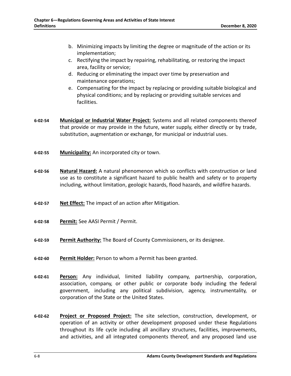- b. Minimizing impacts by limiting the degree or magnitude of the action or its implementation;
- c. Rectifying the impact by repairing, rehabilitating, or restoring the impact area, facility or service;
- d. Reducing or eliminating the impact over time by preservation and maintenance operations;
- e. Compensating for the impact by replacing or providing suitable biological and physical conditions; and by replacing or providing suitable services and facilities.
- **6-02-54 Municipal or Industrial Water Project:** Systems and all related components thereof that provide or may provide in the future, water supply, either directly or by trade, substitution, augmentation or exchange, for municipal or industrial uses.
- **6-02-55 Municipality:** An incorporated city or town.
- **6-02-56 Natural Hazard:** A natural phenomenon which so conflicts with construction or land use as to constitute a significant hazard to public health and safety or to property including, without limitation, geologic hazards, flood hazards, and wildfire hazards.
- **6-02-57 Net Effect:** The impact of an action after Mitigation.
- **6-02-58 Permit:** See AASI Permit / Permit.
- **6-02-59 Permit Authority:** The Board of County Commissioners, or its designee.
- **6-02-60 Permit Holder:** Person to whom a Permit has been granted.
- **6-02-61 Person:** Any individual, limited liability company, partnership, corporation, association, company, or other public or corporate body including the federal government, including any political subdivision, agency, instrumentality, or corporation of the State or the United States.
- **6-02-62 Project or Proposed Project:** The site selection, construction, development, or operation of an activity or other development proposed under these Regulations throughout its life cycle including all ancillary structures, facilities, improvements, and activities, and all integrated components thereof, and any proposed land use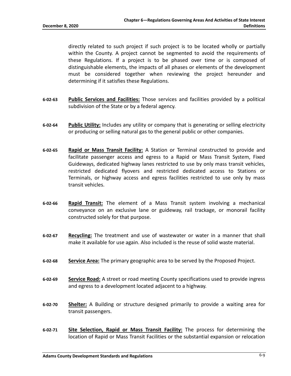directly related to such project if such project is to be located wholly or partially within the County. A project cannot be segmented to avoid the requirements of these Regulations. If a project is to be phased over time or is composed of distinguishable elements, the impacts of all phases or elements of the development must be considered together when reviewing the project hereunder and determining if it satisfies these Regulations.

- **6-02-63 Public Services and Facilities:** Those services and facilities provided by a political subdivision of the State or by a federal agency.
- **6-02-64 Public Utility:** Includes any utility or company that is generating or selling electricity or producing or selling natural gas to the general public or other companies.
- **6-02-65 Rapid or Mass Transit Facility:** A Station or Terminal constructed to provide and facilitate passenger access and egress to a Rapid or Mass Transit System, Fixed Guideways, dedicated highway lanes restricted to use by only mass transit vehicles, restricted dedicated flyovers and restricted dedicated access to Stations or Terminals, or highway access and egress facilities restricted to use only by mass transit vehicles.
- **6-02-66 Rapid Transit:** The element of a Mass Transit system involving a mechanical conveyance on an exclusive lane or guideway, rail trackage, or monorail facility constructed solely for that purpose.
- **6-02-67 Recycling:** The treatment and use of wastewater or water in a manner that shall make it available for use again. Also included is the reuse of solid waste material.
- **6-02-68 Service Area:** The primary geographic area to be served by the Proposed Project.
- **6-02-69 Service Road:** A street or road meeting County specifications used to provide ingress and egress to a development located adjacent to a highway.
- **6-02-70 Shelter:** A Building or structure designed primarily to provide a waiting area for transit passengers.
- **6-02-71 Site Selection, Rapid or Mass Transit Facility:** The process for determining the location of Rapid or Mass Transit Facilities or the substantial expansion or relocation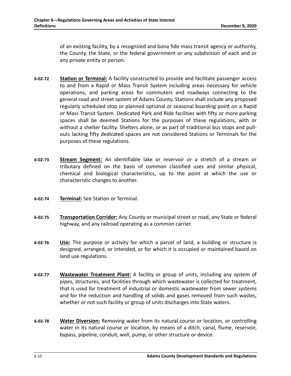of an existing facility, by a recognized and bona fide mass transit agency or authority, the County, the State, or the federal government or any subdivision of each and or any private entity or person.

- **6-02-72 Station or Terminal:** A facility constructed to provide and facilitate passenger access to and from a Rapid or Mass Transit System including areas necessary for vehicle operations, and parking areas for commuters and roadways connecting to the general road and street system of Adams County. Stations shall include any proposed regularly scheduled stop or planned optional or seasonal boarding point on a Rapid or Mass Transit System. Dedicated Park and Ride facilities with fifty or more parking spaces shall be deemed Stations for the purposes of these regulations, with or without a shelter facility. Shelters alone, or as part of traditional bus stops and pullouts lacking fifty dedicated spaces are not considered Stations or Terminals for the purposes of these regulations.
- **6-02-73 Stream Segment:** An identifiable lake or reservoir or a stretch of a stream or tributary defined on the basis of common classified uses and similar physical, chemical and biological characteristics, up to the point at which the use or characteristic changes to another.
- **6-02-74 Terminal:** See Station or Terminal.
- **6-02-75 Transportation Corridor:** Any County or municipal street or road, any State or federal highway, and any railroad operating as a common carrier.
- **6-02-76 Use:** The purpose or activity for which a parcel of land, a building or structure is designed, arranged, or intended, or for which it is occupied or maintained based on land use regulations.
- **6-02-77 Wastewater Treatment Plant:** A facility or group of units, including any system of pipes, structures, and facilities through which wastewater is collected for treatment, that is used for treatment of industrial or domestic wastewater from sewer systems and for the reduction and handling of solids and gases removed from such wastes, whether or not such facility or group of units discharges into State waters.
- **6-02-78 Water Diversion:** Removing water from its natural course or location, or controlling water in its natural course or location, by means of a ditch, canal, flume, reservoir, bypass, pipeline, conduit, well, pump, or other structure or device.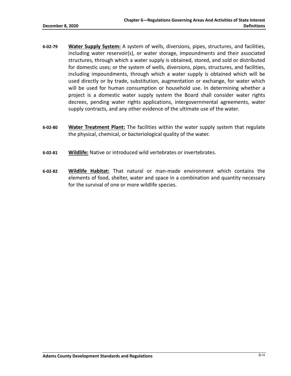- **6-02-79 Water Supply System:** A system of wells, diversions, pipes, structures, and facilities, including water reservoir(s), or water storage, impoundments and their associated structures, through which a water supply is obtained, stored, and sold or distributed for domestic uses; or the system of wells, diversions, pipes, structures, and facilities, including impoundments, through which a water supply is obtained which will be used directly or by trade, substitution, augmentation or exchange, for water which will be used for human consumption or household use. In determining whether a project is a domestic water supply system the Board shall consider water rights decrees, pending water rights applications, intergovernmental agreements, water supply contracts, and any other evidence of the ultimate use of the water.
- **6-02-80 Water Treatment Plant:** The facilities within the water supply system that regulate the physical, chemical, or bacteriological quality of the water.
- **6-02-81 Wildlife:** Native or introduced wild vertebrates or invertebrates.
- **6-02-82 Wildlife Habitat:** That natural or man-made environment which contains the elements of food, shelter, water and space in a combination and quantity necessary for the survival of one or more wildlife species.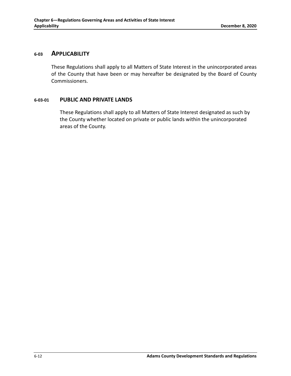### <span id="page-16-0"></span>**6-03 APPLICABILITY**

These Regulations shall apply to all Matters of State Interest in the unincorporated areas of the County that have been or may hereafter be designated by the Board of County Commissioners.

### <span id="page-16-1"></span>**6-03-01 PUBLIC AND PRIVATE LANDS**

These Regulations shall apply to all Matters of State Interest designated as such by the County whether located on private or public lands within the unincorporated areas of the County.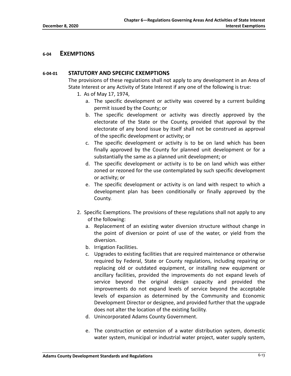### <span id="page-17-1"></span><span id="page-17-0"></span>**6-04 EXEMPTIONS**

### **6-04-01 STATUTORY AND SPECIFIC EXEMPTIONS**

The provisions of these regulations shall not apply to any development in an Area of State Interest or any Activity of State Interest if any one of the following is true:

- 1. As of May 17, 1974,
	- a. The specific development or activity was covered by a current building permit issued by the County; or
	- b. The specific development or activity was directly approved by the electorate of the State or the County, provided that approval by the electorate of any bond issue by itself shall not be construed as approval of the specific development or activity; or
	- c. The specific development or activity is to be on land which has been finally approved by the County for planned unit development or for a substantially the same as a planned unit development; or
	- d. The specific development or activity is to be on land which was either zoned or rezoned for the use contemplated by such specific development or activity; or
	- e. The specific development or activity is on land with respect to which a development plan has been conditionally or finally approved by the County.
- 2. Specific Exemptions. The provisions of these regulations shall not apply to any of the following:
	- a. Replacement of an existing water diversion structure without change in the point of diversion or point of use of the water, or yield from the diversion.
	- b. Irrigation Facilities.
	- c. Upgrades to existing facilities that are required maintenance or otherwise required by Federal, State or County regulations, including repairing or replacing old or outdated equipment, or installing new equipment or ancillary facilities, provided the improvements do not expand levels of service beyond the original design capacity and provided the improvements do not expand levels of service beyond the acceptable levels of expansion as determined by the Community and Economic Development Director or designee, and provided further that the upgrade does not alter the location of the existing facility.
	- d. Unincorporated Adams County Government.
	- e. The construction or extension of a water distribution system, domestic water system, municipal or industrial water project, water supply system,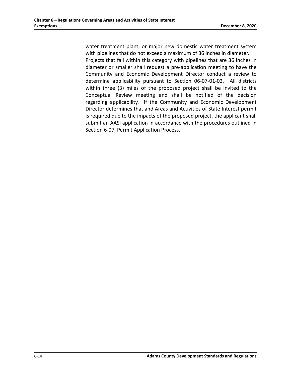water treatment plant, or major new domestic water treatment system with pipelines that do not exceed a maximum of 36 inches in diameter. Projects that fall within this category with pipelines that are 36 inches in diameter or smaller shall request a pre-application meeting to have the Community and Economic Development Director conduct a review to determine applicability pursuant to Section 06-07-01-02. All districts within three (3) miles of the proposed project shall be invited to the Conceptual Review meeting and shall be notified of the decision regarding applicability. If the Community and Economic Development Director determines that and Areas and Activities of State Interest permit is required due to the impacts of the proposed project, the applicant shall submit an AASI application in accordance with the procedures outlined in Section 6-07, Permit Application Process.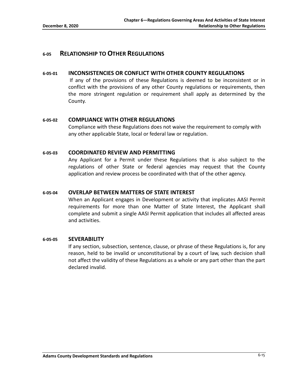### <span id="page-19-1"></span><span id="page-19-0"></span>**6-05 RELATIONSHIP TO OTHER REGULATIONS**

### **6-05-01 INCONSISTENCIES OR CONFLICT WITH OTHER COUNTY REGULATIONS**

If any of the provisions of these Regulations is deemed to be inconsistent or in conflict with the provisions of any other County regulations or requirements, then the more stringent regulation or requirement shall apply as determined by the County.

### <span id="page-19-2"></span>**6-05-02 COMPLIANCE WITH OTHER REGULATIONS**

Compliance with these Regulations does not waive the requirement to comply with any other applicable State, local or federal law or regulation.

### <span id="page-19-3"></span>**6-05-03 COORDINATED REVIEW AND PERMITTING**

Any Applicant for a Permit under these Regulations that is also subject to the regulations of other State or federal agencies may request that the County application and review process be coordinated with that of the other agency.

### <span id="page-19-4"></span>**6-05-04 OVERLAP BETWEEN MATTERS OF STATE INTEREST**

When an Applicant engages in Development or activity that implicates AASI Permit requirements for more than one Matter of State Interest, the Applicant shall complete and submit a single AASI Permit application that includes all affected areas and activities.

#### <span id="page-19-5"></span>**6-05-05 SEVERABILITY**

If any section, subsection, sentence, clause, or phrase of these Regulations is, for any reason, held to be invalid or unconstitutional by a court of law, such decision shall not affect the validity of these Regulations as a whole or any part other than the part declared invalid.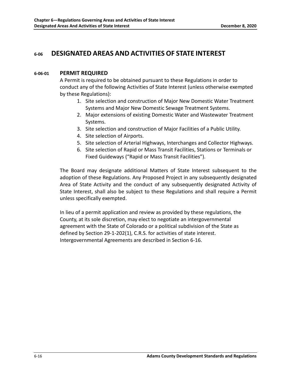# <span id="page-20-1"></span><span id="page-20-0"></span>**6-06 DESIGNATED AREAS AND ACTIVITIES OF STATE INTEREST**

### **6-06-01 PERMIT REQUIRED**

A Permit is required to be obtained pursuant to these Regulations in order to conduct any of the following Activities of State Interest (unless otherwise exempted by these Regulations):

- 1. Site selection and construction of Major New Domestic Water Treatment Systems and Major New Domestic Sewage Treatment Systems.
- 2. Major extensions of existing Domestic Water and Wastewater Treatment Systems.
- 3. Site selection and construction of Major Facilities of a Public Utility.
- 4. Site selection of Airports.
- 5. Site selection of Arterial Highways, Interchanges and Collector Highways.
- 6. Site selection of Rapid or Mass Transit Facilities, Stations or Terminals or Fixed Guideways ("Rapid or Mass Transit Facilities").

The Board may designate additional Matters of State Interest subsequent to the adoption of these Regulations. Any Proposed Project in any subsequently designated Area of State Activity and the conduct of any subsequently designated Activity of State Interest, shall also be subject to these Regulations and shall require a Permit unless specifically exempted.

In lieu of a permit application and review as provided by these regulations, the County, at its sole discretion, may elect to negotiate an intergovernmental agreement with the State of Colorado or a political subdivision of the State as defined by Section 29-1-202(1), C.R.S. for activities of state interest. Intergovernmental Agreements are described in Section 6-16.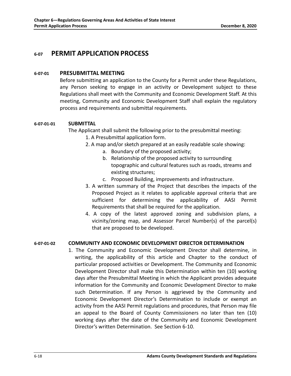# <span id="page-22-1"></span><span id="page-22-0"></span>**6-07 PERMIT APPLICATION PROCESS**

### **6-07-01 PRESUBMITTAL MEETING**

Before submitting an application to the County for a Permit under these Regulations, any Person seeking to engage in an activity or Development subject to these Regulations shall meet with the Community and Economic Development Staff. At this meeting, Community and Economic Development Staff shall explain the regulatory process and requirements and submittal requirements.

### **6-07-01-01 SUBMITTAL**

The Applicant shall submit the following prior to the presubmittal meeting:

- 1. A Presubmittal application form.
- 2. A map and/or sketch prepared at an easily readable scale showing:
	- a. Boundary of the proposed activity;
	- b. Relationship of the proposed activity to surrounding topographic and cultural features such as roads, streams and existing structures;
	- c. Proposed Building, improvements and infrastructure.
- 3. A written summary of the Project that describes the impacts of the Proposed Project as it relates to applicable approval criteria that are sufficient for determining the applicability of AASI Permit Requirements that shall be required for the application.
- 4. A copy of the latest approved zoning and subdivision plans, a vicinity/zoning map, and Assessor Parcel Number(s) of the parcel(s) that are proposed to be developed.

### **6-07-01-02 COMMUNITY AND ECONOMIC DEVELOPMENT DIRECTOR DETERMINATION**

1. The Community and Economic Development Director shall determine, in writing, the applicability of this article and Chapter to the conduct of particular proposed activities or Development. The Community and Economic Development Director shall make this Determination within ten (10) working days after the Presubmittal Meeting in which the Applicant provides adequate information for the Community and Economic Development Director to make such Determination. If any Person is aggrieved by the Community and Economic Development Director's Determination to include or exempt an activity from the AASI Permit regulations and procedures, that Person may file an appeal to the Board of County Commissioners no later than ten (10) working days after the date of the Community and Economic Development Director's written Determination. See Section 6-10.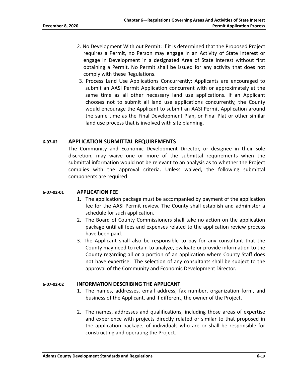- 2. No Development With out Permit: If it is determined that the Proposed Project requires a Permit, no Person may engage in an Activity of State Interest or engage in Development in a designated Area of State Interest without first obtaining a Permit. No Permit shall be issued for any activity that does not comply with these Regulations.
- 3. Process Land Use Applications Concurrently: Applicants are encouraged to submit an AASI Permit Application concurrent with or approximately at the same time as all other necessary land use applications. If an Applicant chooses not to submit all land use applications concurrently, the County would encourage the Applicant to submit an AASI Permit Application around the same time as the Final Development Plan, or Final Plat or other similar land use process that is involved with site planning.

### <span id="page-23-0"></span>**6-07-02 APPLICATION SUBMITTAL REQUIREMENTS**

The Community and Economic Development Director, or designee in their sole discretion, may waive one or more of the submittal requirements when the submittal information would not be relevant to an analysis as to whether the Project complies with the approval criteria. Unless waived, the following submittal components are required:

### **6-07-02-01 APPLICATION FEE**

- 1. The application package must be accompanied by payment of the application fee for the AASI Permit review. The County shall establish and administer a schedule for such application.
- 2. The Board of County Commissioners shall take no action on the application package until all fees and expenses related to the application review process have been paid.
- 3. The Applicant shall also be responsible to pay for any consultant that the County may need to retain to analyze, evaluate or provide information to the County regarding all or a portion of an application where County Staff does not have expertise. The selection of any consultants shall be subject to the approval of the Community and Economic Development Director.

### **6-07-02-02 INFORMATION DESCRIBING THE APPLICANT**

- 1. The names, addresses, email address, fax number, organization form, and business of the Applicant, and if different, the owner of the Project.
- 2. The names, addresses and qualifications, including those areas of expertise and experience with projects directly related or similar to that proposed in the application package, of individuals who are or shall be responsible for constructing and operating the Project.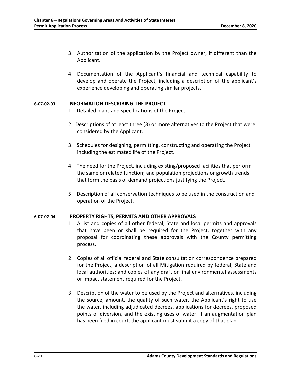- 3. Authorization of the application by the Project owner, if different than the Applicant.
- 4. Documentation of the Applicant's financial and technical capability to develop and operate the Project, including a description of the applicant's experience developing and operating similar projects.

#### **6-07-02-03 INFORMATION DESCRIBING THE PROJECT**

- 1. Detailed plans and specifications of the Project.
- 2. Descriptions of at least three (3) or more alternatives to the Project that were considered by the Applicant.
- 3. Schedules for designing, permitting, constructing and operating the Project including the estimated life of the Project.
- 4. The need for the Project, including existing/proposed facilities that perform the same or related function; and population projections or growth trends that form the basis of demand projections justifying the Project.
- 5. Description of all conservation techniques to be used in the construction and operation of the Project.

### **6-07-02-04 PROPERTY RIGHTS, PERMITS AND OTHER APPROVALS**

- 1. A list and copies of all other federal, State and local permits and approvals that have been or shall be required for the Project, together with any proposal for coordinating these approvals with the County permitting process.
- 2. Copies of all official federal and State consultation correspondence prepared for the Project; a description of all Mitigation required by federal, State and local authorities; and copies of any draft or final environmental assessments or impact statement required for the Project.
- 3. Description of the water to be used by the Project and alternatives, including the source, amount, the quality of such water, the Applicant's right to use the water, including adjudicated decrees, applications for decrees, proposed points of diversion, and the existing uses of water. If an augmentation plan has been filed in court, the applicant must submit a copy of that plan.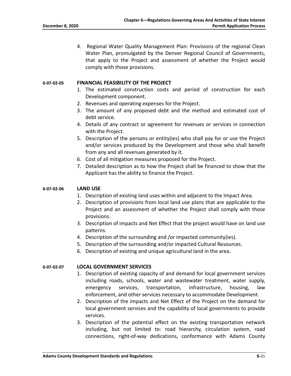4. Regional Water Quality Management Plan: Provisions of the regional Clean Water Plan, promulgated by the Denver Regional Council of Governments, that apply to the Project and assessment of whether the Project would comply with those provisions.

#### **6-07-02-05 FINANCIAL FEASIBILITY OF THE PROJECT**

- 1. The estimated construction costs and period of construction for each Development component.
- 2. Revenues and operating expenses for the Project.
- 3. The amount of any proposed debt and the method and estimated cost of debt service.
- 4. Details of any contract or agreement for revenues or services in connection with the Project.
- 5. Description of the persons or entity(ies) who shall pay for or use the Project and/or services produced by the Development and those who shall benefit from any and all revenues generated by it.
- 6. Cost of all mitigation measures proposed for the Project.
- 7. Detailed description as to how the Project shall be financed to show that the Applicant has the ability to finance the Project.

#### **6-07-02-06 LAND USE**

- 1. Description of existing land uses within and adjacent to the Impact Area.
- 2. Description of provisions from local land use plans that are applicable to the Project and an assessment of whether the Project shall comply with those provisions.
- 3. Description of impacts and Net Effect that the project would have on land use patterns.
- 4. Description of the surrounding and /or impacted community(ies).
- 5. Description of the surrounding and/or impacted Cultural Resources.
- 6. Description of existing and unique agricultural land in the area.

#### **6-07-02-07 LOCAL GOVERNMENT SERVICES**

- 1. Description of existing capacity of and demand for local government services including roads, schools, water and wastewater treatment, water supply, emergency services, transportation, infrastructure, housing, law enforcement, and other services necessary to accommodate Development.
- 2. Description of the impacts and Net Effect of the Project on the demand for local government services and the capability of local governments to provide services.
- 3. Description of the potential effect on the existing transportation network including, but not limited to: road hierarchy, circulation system, road connections, right-of-way dedications, conformance with Adams County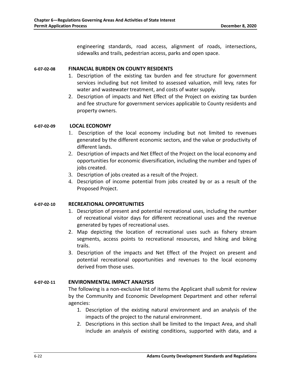engineering standards, road access, alignment of roads, intersections, sidewalks and trails, pedestrian access, parks and open space.

#### **6-07-02-08 FINANCIAL BURDEN ON COUNTY RESIDENTS**

- 1. Description of the existing tax burden and fee structure for government services including but not limited to assessed valuation, mill levy, rates for water and wastewater treatment, and costs of water supply.
- 2. Description of impacts and Net Effect of the Project on existing tax burden and fee structure for government services applicable to County residents and property owners.

### **6-07-02-09 LOCAL ECONOMY**

- 1. Description of the local economy including but not limited to revenues generated by the different economic sectors, and the value or productivity of different lands.
- 2. Description of impacts and Net Effect of the Project on the local economy and opportunities for economic diversification, including the number and types of jobs created.
- 3. Description of jobs created as a result of the Project.
- 4. Description of income potential from jobs created by or as a result of the Proposed Project.

### **6-07-02-10 RECREATIONAL OPPORTUNITIES**

- 1. Description of present and potential recreational uses, including the number of recreational visitor days for different recreational uses and the revenue generated by types of recreational uses.
- 2. Map depicting the location of recreational uses such as fishery stream segments, access points to recreational resources, and hiking and biking trails.
- 3. Description of the impacts and Net Effect of the Project on present and potential recreational opportunities and revenues to the local economy derived from those uses.

#### **6-07-02-11 ENVIRONMENTAL IMPACT ANALYSIS**

The following is a non-exclusive list of items the Applicant shall submit for review by the Community and Economic Development Department and other referral agencies:

- 1. Description of the existing natural environment and an analysis of the impacts of the project to the natural environment.
- 2. Descriptions in this section shall be limited to the Impact Area, and shall include an analysis of existing conditions, supported with data, and a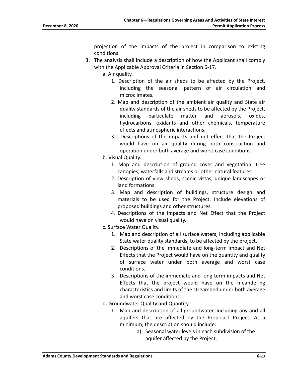projection of the impacts of the project in comparison to existing conditions.

- 3. The analysis shall include a description of how the Applicant shall comply with the Applicable Approval Criteria in Section 6-17.
	- a. Air quality.
		- 1. Description of the air sheds to be affected by the Project, including the seasonal pattern of air circulation and microclimates.
		- 2. Map and description of the ambient air quality and State air quality standards of the air sheds to be affected by the Project, including particulate matter and aerosols, oxides, hydrocarbons, oxidants and other chemicals, temperature effects and atmospheric interactions.
		- 3. Descriptions of the impacts and net effect that the Project would have on air quality during both construction and operation under both average and worst-case conditions.
	- b. Visual Quality.
		- 1. Map and description of ground cover and vegetation, tree canopies, waterfalls and streams or other natural features.
		- 2. Description of view sheds, scenic vistas, unique landscapes or land formations.
		- 3. Map and description of buildings, structure design and materials to be used for the Project. Include elevations of proposed buildings and other structures.
		- 4. Descriptions of the impacts and Net Effect that the Project would have on visual quality.
	- c. Surface Water Quality.
		- 1. Map and description of all surface waters, including applicable State water quality standards, to be affected by the project.
		- 2. Descriptions of the immediate and long-term impact and Net Effects that the Project would have on the quantity and quality of surface water under both average and worst case conditions.
		- 3. Descriptions of the immediate and long-term impacts and Net Effects that the project would have on the meandering characteristics and limits of the streambed under both average and worst case conditions.
	- d. Groundwater Quality and Quantity.
		- 1. Map and description of all groundwater, including any and all aquifers that are affected by the Proposed Project. At a minimum, the description should include:
			- a) Seasonal water levels in each subdivision of the aquifer affected by the Project.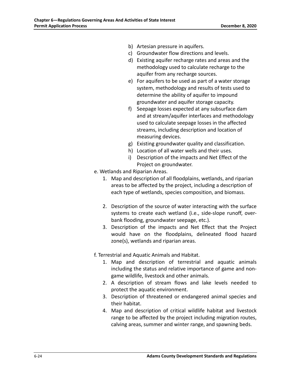- b) Artesian pressure in aquifers.
- c) Groundwater flow directions and levels.
- d) Existing aquifer recharge rates and areas and the methodology used to calculate recharge to the aquifer from any recharge sources.
- e) For aquifers to be used as part of a water storage system, methodology and results of tests used to determine the ability of aquifer to impound groundwater and aquifer storage capacity.
- f) Seepage losses expected at any subsurface dam and at stream/aquifer interfaces and methodology used to calculate seepage losses in the affected streams, including description and location of measuring devices.
- g) Existing groundwater quality and classification.
- h) Location of all water wells and their uses.
- i) Description of the impacts and Net Effect of the Project on groundwater.
- e. Wetlands and Riparian Areas.
	- 1. Map and description of all floodplains, wetlands, and riparian areas to be affected by the project, including a description of each type of wetlands, species composition, and biomass.
	- 2. Description of the source of water interacting with the surface systems to create each wetland (i.e., side-slope runoff, overbank flooding, groundwater seepage, etc.).
	- 3. Description of the impacts and Net Effect that the Project would have on the floodplains, delineated flood hazard zone(s), wetlands and riparian areas.

f. Terrestrial and Aquatic Animals and Habitat.

- 1. Map and description of terrestrial and aquatic animals including the status and relative importance of game and nongame wildlife, livestock and other animals.
- 2. A description of stream flows and lake levels needed to protect the aquatic environment.
- 3. Description of threatened or endangered animal species and their habitat.
- 4. Map and description of critical wildlife habitat and livestock range to be affected by the project including migration routes, calving areas, summer and winter range, and spawning beds.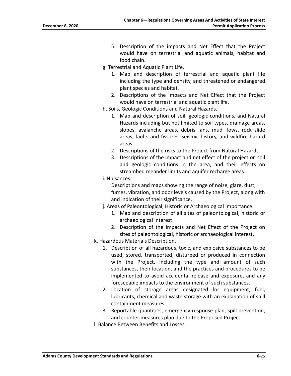- 5. Description of the impacts and Net Effect that the Project would have on terrestrial and aquatic animals, habitat and food chain.
- g. Terrestrial and Aquatic Plant Life.
	- 1. Map and description of terrestrial and aquatic plant life including the type and density, and threatened or endangered plant species and habitat.
	- 2. Descriptions of the impacts and Net Effect that the Project would have on terrestrial and aquatic plant life.
- h. Soils, Geologic Conditions and Natural Hazards.
	- 1. Map and description of soil, geologic conditions, and Natural Hazards including but not limited to soil types, drainage areas, slopes, avalanche areas, debris fans, mud flows, rock slide areas, faults and fissures, seismic history, and wildfire hazard areas.
	- 2. Descriptions of the risks to the Project from Natural Hazards.
	- 3. Descriptions of the impact and net effect of the project on soil and geologic conditions in the area, and their effects on streambed meander limits and aquifer recharge areas.
- i. Nuisances.

Descriptions and maps showing the range of noise, glare, dust, fumes, vibration, and odor levels caused by the Project, along with and indication of their significance.

- j. Areas of Paleontological, Historic or Archaeological Importance.
	- 1. Map and description of all sites of paleontological, historic or archaeological interest.
	- 2. Description of the impacts and Net Effect of the Project on sites of paleontological, historic or archaeological interest.
- k. Hazardous Materials Description.
	- 1. Description of all hazardous, toxic, and explosive substances to be used, stored, transported, disturbed or produced in connection with the Project, including the type and amount of such substances, their location, and the practices and procedures to be implemented to avoid accidental release and exposure, and any foreseeable impacts to the environment of such substances.
	- 2. Location of storage areas designated for equipment, fuel, lubricants, chemical and waste storage with an explanation of spill containment measures.
	- 3. Reportable quantities, emergency response plan, spill prevention, and counter measures plan due to the Proposed Project.
- l. Balance Between Benefits and Losses.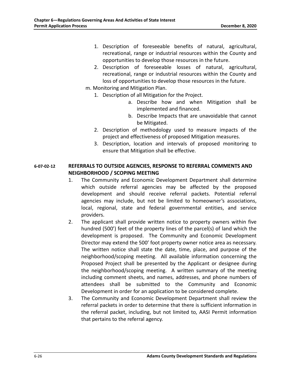- 1. Description of foreseeable benefits of natural, agricultural, recreational, range or industrial resources within the County and opportunities to develop those resources in the future.
- 2. Description of foreseeable losses of natural, agricultural, recreational, range or industrial resources within the County and loss of opportunities to develop those resources in the future.
- m. Monitoring and Mitigation Plan.
	- 1. Description of all Mitigation for the Project.
		- a. Describe how and when Mitigation shall be implemented and financed.
		- b. Describe Impacts that are unavoidable that cannot be Mitigated.
	- 2. Description of methodology used to measure impacts of the project and effectiveness of proposed Mitigation measures.
	- 3. Description, location and intervals of proposed monitoring to ensure that Mitigation shall be effective.

### **6-07-02-12 REFERRALS TO OUTSIDE AGENCIES, RESPONSE TO REFERRAL COMMENTS AND NEIGHBORHOOD / SCOPING MEETING**

- 1. The Community and Economic Development Department shall determine which outside referral agencies may be affected by the proposed development and should receive referral packets. Potential referral agencies may include, but not be limited to homeowner's associations, local, regional, state and federal governmental entities, and service providers.
- 2. The applicant shall provide written notice to property owners within five hundred (500') feet of the property lines of the parcel(s) of land which the development is proposed. The Community and Economic Development Director may extend the 500' foot property owner notice area as necessary. The written notice shall state the date, time, place, and purpose of the neighborhood/scoping meeting. All available information concerning the Proposed Project shall be presented by the Applicant or designee during the neighborhood/scoping meeting. A written summary of the meeting including comment sheets, and names, addresses, and phone numbers of attendees shall be submitted to the Community and Economic Development in order for an application to be considered complete.
- 3. The Community and Economic Development Department shall review the referral packets in order to determine that there is sufficient information in the referral packet, including, but not limited to, AASI Permit information that pertains to the referral agency.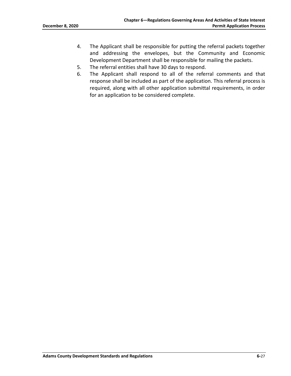- 4. The Applicant shall be responsible for putting the referral packets together and addressing the envelopes, but the Community and Economic Development Department shall be responsible for mailing the packets.
- 5. The referral entities shall have 30 days to respond.
- 6. The Applicant shall respond to all of the referral comments and that response shall be included as part of the application. This referral process is required, along with all other application submittal requirements, in order for an application to be considered complete.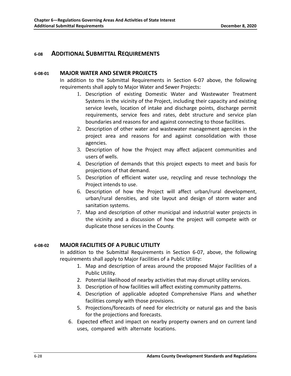### <span id="page-32-1"></span><span id="page-32-0"></span>**6-08 ADDITIONAL SUBMITTAL REQUIREMENTS**

### **6-08-01 MAJOR WATER AND SEWER PROJECTS**

In addition to the Submittal Requirements in Section 6-07 above, the following requirements shall apply to Major Water and Sewer Projects:

- 1. Description of existing Domestic Water and Wastewater Treatment Systems in the vicinity of the Project, including their capacity and existing service levels, location of intake and discharge points, discharge permit requirements, service fees and rates, debt structure and service plan boundaries and reasons for and against connecting to those facilities.
- 2. Description of other water and wastewater management agencies in the project area and reasons for and against consolidation with those agencies.
- 3. Description of how the Project may affect adjacent communities and users of wells.
- 4. Description of demands that this project expects to meet and basis for projections of that demand.
- 5. Description of efficient water use, recycling and reuse technology the Project intends to use.
- 6. Description of how the Project will affect urban/rural development, urban/rural densities, and site layout and design of storm water and sanitation systems.
- 7. Map and description of other municipal and industrial water projects in the vicinity and a discussion of how the project will compete with or duplicate those services in the County.

### <span id="page-32-2"></span>**6-08-02 MAJOR FACILITIES OF A PUBLIC UTILITY**

In addition to the Submittal Requirements in Section 6-07, above, the following requirements shall apply to Major Facilities of a Public Utility:

- 1. Map and description of areas around the proposed Major Facilities of a Public Utility.
- 2. Potential likelihood of nearby activities that may disrupt utility services.
- 3. Description of how facilities will affect existing community patterns.
- 4. Description of applicable adopted Comprehensive Plans and whether facilities comply with those provisions.
- 5. Projections/forecasts of need for electricity or natural gas and the basis for the projections and forecasts.
- 6. Expected effect and impact on nearby property owners and on current land uses, compared with alternate locations.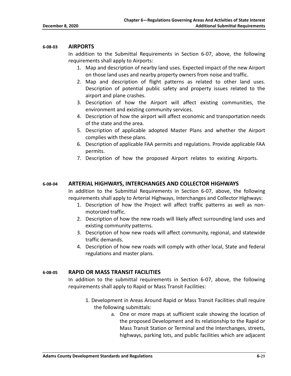#### <span id="page-33-0"></span>**6-08-03 AIRPORTS**

In addition to the Submittal Requirements in Section 6-07, above, the following requirements shall apply to Airports:

- 1. Map and description of nearby land uses. Expected impact of the new Airport on those land uses and nearby property owners from noise and traffic.
- 2. Map and description of flight patterns as related to other land uses. Description of potential public safety and property issues related to the airport and plane crashes.
- 3. Description of how the Airport will affect existing communities, the environment and existing community services.
- 4. Description of how the airport will affect economic and transportation needs of the state and the area.
- 5. Description of applicable adopted Master Plans and whether the Airport complies with these plans.
- 6. Description of applicable FAA permits and regulations. Provide applicable FAA permits.
- 7. Description of how the proposed Airport relates to existing Airports.

#### <span id="page-33-1"></span>**6-08-04 ARTERIAL HIGHWAYS, INTERCHANGES AND COLLECTOR HIGHWAYS**

In addition to the Submittal Requirements in Section 6-07, above, the following requirements shall apply to Arterial Highways, Interchanges and Collector Highways:

- 1. Description of how the Project will affect traffic patterns as well as nonmotorized traffic.
- 2. Description of how the new roads will likely affect surrounding land uses and existing community patterns.
- 3. Description of how new roads will affect community, regional, and statewide traffic demands.
- 4. Description of how new roads will comply with other local, State and federal regulations and master plans.

#### <span id="page-33-2"></span>**6-08-05 RAPID OR MASS TRANSIT FACILITIES**

In addition to the submittal requirements in Section 6-07, above, the following requirements shall apply to Rapid or Mass Transit Facilities:

- 1. Development in Areas Around Rapid or Mass Transit Facilities shall require the following submittals:
	- a. One or more maps at sufficient scale showing the location of the proposed Development and its relationship to the Rapid or Mass Transit Station or Terminal and the Interchanges, streets, highways, parking lots, and public facilities which are adjacent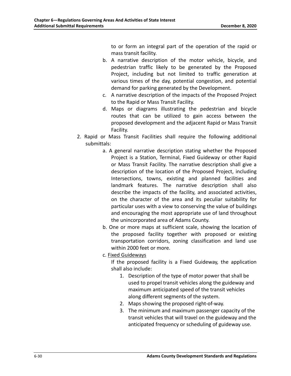to or form an integral part of the operation of the rapid or mass transit facility.

- b. A narrative description of the motor vehicle, bicycle, and pedestrian traffic likely to be generated by the Proposed Project, including but not limited to traffic generation at various times of the day, potential congestion, and potential demand for parking generated by the Development.
- c. A narrative description of the impacts of the Proposed Project to the Rapid or Mass Transit Facility.
- d. Maps or diagrams illustrating the pedestrian and bicycle routes that can be utilized to gain access between the proposed development and the adjacent Rapid or Mass Transit Facility.
- 2. Rapid or Mass Transit Facilities shall require the following additional submittals:
	- a. A general narrative description stating whether the Proposed Project is a Station, Terminal, Fixed Guideway or other Rapid or Mass Transit Facility. The narrative description shall give a description of the location of the Proposed Project, including Intersections, towns, existing and planned facilities and landmark features. The narrative description shall also describe the impacts of the facility, and associated activities, on the character of the area and its peculiar suitability for particular uses with a view to conserving the value of buildings and encouraging the most appropriate use of land throughout the unincorporated area of Adams County.
	- b. One or more maps at sufficient scale, showing the location of the proposed facility together with proposed or existing transportation corridors, zoning classification and land use within 2000 feet or more.
	- c. Fixed Guideways

If the proposed facility is a Fixed Guideway, the application shall also include:

- 1. Description of the type of motor power that shall be used to propel transit vehicles along the guideway and maximum anticipated speed of the transit vehicles along different segments of the system.
- 2. Maps showing the proposed right-of-way.
- 3. The minimum and maximum passenger capacity of the transit vehicles that will travel on the guideway and the anticipated frequency or scheduling of guideway use.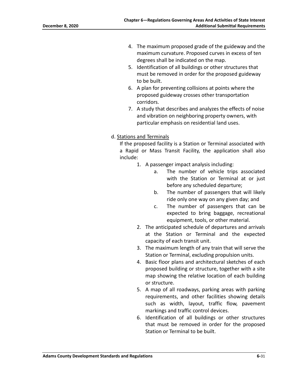- 4. The maximum proposed grade of the guideway and the maximum curvature. Proposed curves in excess of ten degrees shall be indicated on the map.
- 5. Identification of all buildings or other structures that must be removed in order for the proposed guideway to be built.
- 6. A plan for preventing collisions at points where the proposed guideway crosses other transportation corridors.
- 7. A study that describes and analyzes the effects of noise and vibration on neighboring property owners, with particular emphasis on residential land uses.

### d. Stations and Terminals

If the proposed facility is a Station or Terminal associated with a Rapid or Mass Transit Facility, the application shall also include:

- 1. A passenger impact analysis including:
	- a. The number of vehicle trips associated with the Station or Terminal at or just before any scheduled departure;
	- b. The number of passengers that will likely ride only one way on any given day; and
	- c. The number of passengers that can be expected to bring baggage, recreational equipment, tools, or other material.
- 2. The anticipated schedule of departures and arrivals at the Station or Terminal and the expected capacity of each transit unit.
- 3. The maximum length of any train that will serve the Station or Terminal, excluding propulsion units.
- 4. Basic floor plans and architectural sketches of each proposed building or structure, together with a site map showing the relative location of each building or structure.
- 5. A map of all roadways, parking areas with parking requirements, and other facilities showing details such as width, layout, traffic flow, pavement markings and traffic control devices.
- 6. Identification of all buildings or other structures that must be removed in order for the proposed Station or Terminal to be built.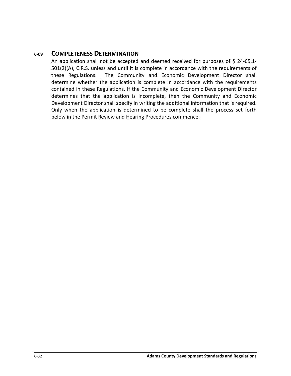### <span id="page-36-0"></span>**6-09 COMPLETENESS DETERMINATION**

An application shall not be accepted and deemed received for purposes of § 24-65.1- 501(2)(A), C.R.S. unless and until it is complete in accordance with the requirements of these Regulations. The Community and Economic Development Director shall determine whether the application is complete in accordance with the requirements contained in these Regulations. If the Community and Economic Development Director determines that the application is incomplete, then the Community and Economic Development Director shall specify in writing the additional information that is required. Only when the application is determined to be complete shall the process set forth below in the Permit Review and Hearing Procedures commence.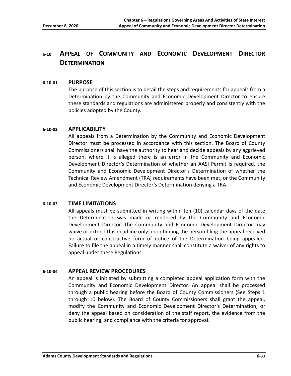# <span id="page-37-0"></span>**6-10 APPEAL OF COMMUNITY AND ECONOMIC DEVELOPMENT DIRECTOR DETERMINATION**

#### <span id="page-37-1"></span>**6-10-01 PURPOSE**

The purpose of this section is to detail the steps and requirements for appeals from a Determination by the Community and Economic Development Director to ensure these standards and regulations are administered properly and consistently with the policies adopted by the County.

#### <span id="page-37-2"></span>**6-10-02 APPLICABILITY**

All appeals from a Determination by the Community and Economic Development Director must be processed in accordance with this section. The Board of County Commissioners shall have the authority to hear and decide appeals by any aggrieved person, where it is alleged there is an error in the Community and Economic Development Director's Determination of whether an AASI Permit is required, the Community and Economic Development Director's Determination of whether the Technical Review Amendment (TRA) requirements have been met, or the Community and Economic Development Director's Determination denying a TRA.

### <span id="page-37-3"></span>**6-10-03 TIME LIMITATIONS**

All appeals must be submitted in writing within ten (10) calendar days of the date the Determination was made or rendered by the Community and Economic Development Director. The Community and Economic Development Director may waive or extend this deadline only upon finding the person filing the appeal received no actual or constructive form of notice of the Determination being appealed. Failure to file the appeal in a timely manner shall constitute a waiver of any rights to appeal under these Regulations.

#### <span id="page-37-4"></span>**6-10-04 APPEAL REVIEW PROCEDURES**

An appeal is initiated by submitting a completed appeal application form with the Community and Economic Development Director. An appeal shall be processed through a public hearing before the Board of County Commissioners (See Steps 1 through 10 below). The Board of County Commissioners shall grant the appeal, modify the Community and Economic Development Director's Determination, or deny the appeal based on consideration of the staff report, the evidence from the public hearing, and compliance with the criteria for approval.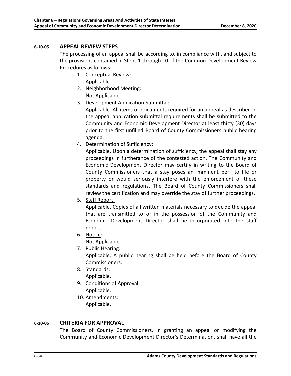### <span id="page-38-0"></span>**6-10-05 APPEAL REVIEW STEPS**

The processing of an appeal shall be according to, in compliance with, and subject to the provisions contained in Steps 1 through 10 of the Common Development Review Procedures as follows:

- 1. Conceptual Review: Applicable.
- 2. Neighborhood Meeting: Not Applicable.
- 3. Development Application Submittal:

Applicable. All items or documents required for an appeal as described in the appeal application submittal requirements shall be submitted to the Community and Economic Development Director at least thirty (30) days prior to the first unfilled Board of County Commissioners public hearing agenda.

4. Determination of Sufficiency:

Applicable. Upon a determination of sufficiency, the appeal shall stay any proceedings in furtherance of the contested action. The Community and Economic Development Director may certify in writing to the Board of County Commissioners that a stay poses an imminent peril to life or property or would seriously interfere with the enforcement of these standards and regulations. The Board of County Commissioners shall review the certification and may override the stay of further proceedings.

5. Staff Report:

Applicable. Copies of all written materials necessary to decide the appeal that are transmitted to or in the possession of the Community and Economic Development Director shall be incorporated into the staff report.

- 6. Notice:
	- Not Applicable.
- 7. Public Hearing:

Applicable. A public hearing shall be held before the Board of County Commissioners.

- 8. Standards: Applicable.
- 9. Conditions of Approval: Applicable.
- 10. Amendments:

Applicable.

### <span id="page-38-1"></span>**6-10-06 CRITERIA FOR APPROVAL**

The Board of County Commissioners, in granting an appeal or modifying the Community and Economic Development Director's Determination, shall have all the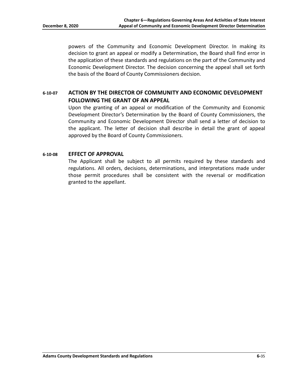powers of the Community and Economic Development Director. In making its decision to grant an appeal or modify a Determination, the Board shall find error in the application of these standards and regulations on the part of the Community and Economic Development Director. The decision concerning the appeal shall set forth the basis of the Board of County Commissioners decision.

### <span id="page-39-0"></span>**6-10-07 ACTION BY THE DIRECTOR OF COMMUNITY AND ECONOMIC DEVELOPMENT FOLLOWING THE GRANT OF AN APPEAL**

Upon the granting of an appeal or modification of the Community and Economic Development Director's Determination by the Board of County Commissioners, the Community and Economic Development Director shall send a letter of decision to the applicant. The letter of decision shall describe in detail the grant of appeal approved by the Board of County Commissioners.

#### <span id="page-39-1"></span>**6-10-08 EFFECT OF APPROVAL**

The Applicant shall be subject to all permits required by these standards and regulations. All orders, decisions, determinations, and interpretations made under those permit procedures shall be consistent with the reversal or modification granted to the appellant.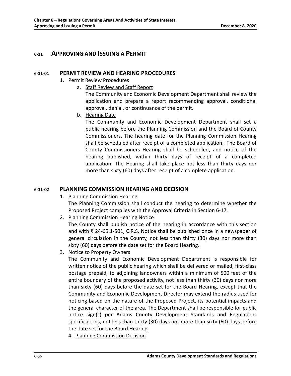### <span id="page-40-1"></span><span id="page-40-0"></span>**6-11 APPROVING AND ISSUING A PERMIT**

### **6-11-01 PERMIT REVIEW AND HEARING PROCEDURES**

- 1. Permit Review Procedures
	- a. Staff Review and Staff Report

The Community and Economic Development Department shall review the application and prepare a report recommending approval, conditional approval, denial, or continuance of the permit.

b. Hearing Date

The Community and Economic Development Department shall set a public hearing before the Planning Commission and the Board of County Commissioners. The hearing date for the Planning Commission Hearing shall be scheduled after receipt of a completed application. The Board of County Commissioners Hearing shall be scheduled, and notice of the hearing published, within thirty days of receipt of a completed application. The Hearing shall take place not less than thirty days nor more than sixty (60) days after receipt of a complete application.

### <span id="page-40-2"></span>**6-11-02 PLANNING COMMISSION HEARING AND DECISION**

1. Planning Commission Hearing

The Planning Commission shall conduct the hearing to determine whether the Proposed Project complies with the Approval Criteria in Section 6-17.

2. Planning Commission Hearing Notice

The County shall publish notice of the hearing in accordance with this section and with § 24-65.1-501, C.R.S. Notice shall be published once in a newspaper of general circulation in the County, not less than thirty (30) days nor more than sixty (60) days before the date set for the Board Hearing.

3. Notice to Property Owners

The Community and Economic Development Department is responsible for written notice of the public hearing which shall be delivered or mailed, first-class postage prepaid, to adjoining landowners within a minimum of 500 feet of the entire boundary of the proposed activity, not less than thirty (30) days nor more than sixty (60) days before the date set for the Board Hearing, except that the Community and Economic Development Director may extend the radius used for noticing based on the nature of the Proposed Project, its potential impacts and the general character of the area. The Department shall be responsible for public notice sign(s) per Adams County Development Standards and Regulations specifications, not less than thirty (30) days nor more than sixty (60) days before the date set for the Board Hearing.

4. Planning Commission Decision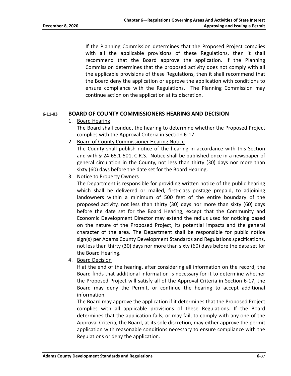If the Planning Commission determines that the Proposed Project complies with all the applicable provisions of these Regulations, then it shall recommend that the Board approve the application. If the Planning Commission determines that the proposed activity does not comply with all the applicable provisions of these Regulations, then it shall recommend that the Board deny the application or approve the application with conditions to ensure compliance with the Regulations. The Planning Commission may continue action on the application at its discretion.

#### <span id="page-41-0"></span>**6-11-03 BOARD OF COUNTY COMMISSIONERS HEARING AND DECISION**

1. Board Hearing

The Board shall conduct the hearing to determine whether the Proposed Project complies with the Approval Criteria in Section 6-17.

2. Board of County Commissioner Hearing Notice

The County shall publish notice of the hearing in accordance with this Section and with § 24-65.1-501, C.R.S. Notice shall be published once in a newspaper of general circulation in the County, not less than thirty (30) days nor more than sixty (60) days before the date set for the Board Hearing.

3. Notice to Property Owners

The Department is responsible for providing written notice of the public hearing which shall be delivered or mailed, first-class postage prepaid, to adjoining landowners within a minimum of 500 feet of the entire boundary of the proposed activity, not less than thirty (30) days nor more than sixty (60) days before the date set for the Board Hearing, except that the Community and Economic Development Director may extend the radius used for noticing based on the nature of the Proposed Project, its potential impacts and the general character of the area. The Department shall be responsible for public notice sign(s) per Adams County Development Standards and Regulations specifications, not less than thirty (30) days nor more than sixty (60) days before the date set for the Board Hearing.

4. Board Decision

If at the end of the hearing, after considering all information on the record, the Board finds that additional information is necessary for it to determine whether the Proposed Project will satisfy all of the Approval Criteria in Section 6-17, the Board may deny the Permit, or continue the hearing to accept additional information.

The Board may approve the application if it determines that the Proposed Project complies with all applicable provisions of these Regulations. If the Board determines that the application fails, or may fail, to comply with any one of the Approval Criteria, the Board, at its sole discretion, may either approve the permit application with reasonable conditions necessary to ensure compliance with the Regulations or deny the application.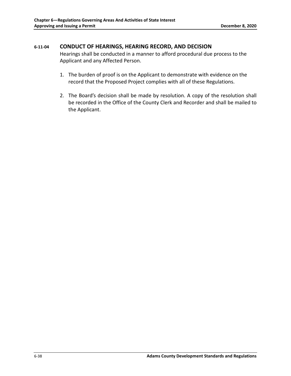### <span id="page-42-0"></span>**6-11-04 CONDUCT OF HEARINGS, HEARING RECORD, AND DECISION**

Hearings shall be conducted in a manner to afford procedural due process to the Applicant and any Affected Person.

- 1. The burden of proof is on the Applicant to demonstrate with evidence on the record that the Proposed Project complies with all of these Regulations.
- 2. The Board's decision shall be made by resolution. A copy of the resolution shall be recorded in the Office of the County Clerk and Recorder and shall be mailed to the Applicant.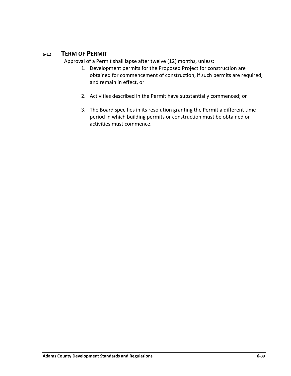### **6-12 TERM OF PERMIT**

<span id="page-43-0"></span>Approval of a Permit shall lapse after twelve (12) months, unless:

- 1. Development permits for the Proposed Project for construction are obtained for commencement of construction, if such permits are required; and remain in effect, or
- 2. Activities described in the Permit have substantially commenced; or
- 3. The Board specifies in its resolution granting the Permit a different time period in which building permits or construction must be obtained or activities must commence.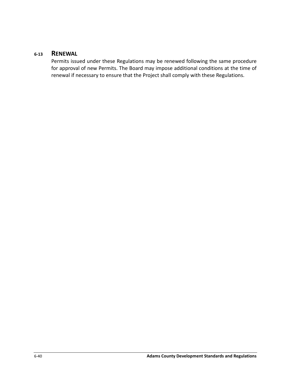### <span id="page-44-0"></span>**6-13 RENEWAL**

Permits issued under these Regulations may be renewed following the same procedure for approval of new Permits. The Board may impose additional conditions at the time of renewal if necessary to ensure that the Project shall comply with these Regulations.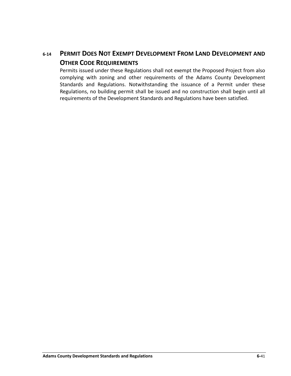# <span id="page-45-0"></span>**6-14 PERMIT DOES NOT EXEMPT DEVELOPMENT FROM LAND DEVELOPMENT AND OTHER CODE REQUIREMENTS**

Permits issued under these Regulations shall not exempt the Proposed Project from also complying with zoning and other requirements of the Adams County Development Standards and Regulations. Notwithstanding the issuance of a Permit under these Regulations, no building permit shall be issued and no construction shall begin until all requirements of the Development Standards and Regulations have been satisfied.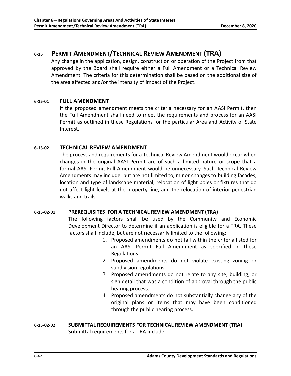# <span id="page-46-0"></span>**6-15 PERMIT AMENDMENT/TECHNICAL REVIEW AMENDMENT (TRA)**

Any change in the application, design, construction or operation of the Project from that approved by the Board shall require either a Full Amendment or a Technical Review Amendment. The criteria for this determination shall be based on the additional size of the area affected and/or the intensity of impact of the Project.

### <span id="page-46-1"></span>**6-15-01 FULL AMENDMENT**

If the proposed amendment meets the criteria necessary for an AASI Permit, then the Full Amendment shall need to meet the requirements and process for an AASI Permit as outlined in these Regulations for the particular Area and Activity of State Interest.

### <span id="page-46-2"></span>**6-15-02 TECHNICAL REVIEW AMENDMENT**

The process and requirements for a Technical Review Amendment would occur when changes in the original AASI Permit are of such a limited nature or scope that a formal AASI Permit Full Amendment would be unnecessary. Such Technical Review Amendments may include, but are not limited to, minor changes to building facades, location and type of landscape material, relocation of light poles or fixtures that do not affect light levels at the property line, and the relocation of interior pedestrian walks and trails.

### **6-15-02-01 PREREQUISITES FOR A TECHNICAL REVIEW AMENDMENT (TRA)**

The following factors shall be used by the Community and Economic Development Director to determine if an application is eligible for a TRA. These factors shall include, but are not necessarily limited to the following:

- 1. Proposed amendments do not fall within the criteria listed for an AASI Permit Full Amendment as specified in these Regulations.
- 2. Proposed amendments do not violate existing zoning or subdivision regulations.
- 3. Proposed amendments do not relate to any site, building, or sign detail that was a condition of approval through the public hearing process.
- 4. Proposed amendments do not substantially change any of the original plans or items that may have been conditioned through the public hearing process.

### **6-15-02-02 SUBMITTAL REQUIREMENTS FOR TECHNICAL REVIEW AMENDMENT (TRA)**  Submittal requirements for a TRA include: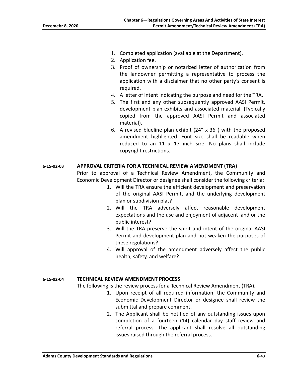- 1. Completed application (available at the Department).
- 2. Application fee.
- 3. Proof of ownership or notarized letter of authorization from the landowner permitting a representative to process the application with a disclaimer that no other party's consent is required.
- 4. A letter of intent indicating the purpose and need for the TRA.
- 5. The first and any other subsequently approved AASI Permit, development plan exhibits and associated material. (Typically copied from the approved AASI Permit and associated material).
- 6. A revised blueline plan exhibit (24" x 36") with the proposed amendment highlighted. Font size shall be readable when reduced to an 11 x 17 inch size. No plans shall include copyright restrictions.

#### **6-15-02-03 APPROVAL CRITERIA FOR A TECHNICAL REVIEW AMENDMENT (TRA)**

Prior to approval of a Technical Review Amendment, the Community and Economic Development Director or designee shall consider the following criteria:

- 1. Will the TRA ensure the efficient development and preservation of the original AASI Permit, and the underlying development plan or subdivision plat?
- 2. Will the TRA adversely affect reasonable development expectations and the use and enjoyment of adjacent land or the public interest?
- 3. Will the TRA preserve the spirit and intent of the original AASI Permit and development plan and not weaken the purposes of these regulations?
- 4. Will approval of the amendment adversely affect the public health, safety, and welfare?

#### **6-15-02-04 TECHNICAL REVIEW AMENDMENT PROCESS**

The following is the review process for a Technical Review Amendment (TRA).

- 1. Upon receipt of all required information, the Community and Economic Development Director or designee shall review the submittal and prepare comment.
- 2. The Applicant shall be notified of any outstanding issues upon completion of a fourteen (14) calendar day staff review and referral process. The applicant shall resolve all outstanding issues raised through the referral process.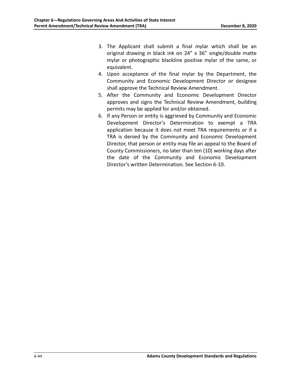- 3. The Applicant shall submit a final mylar which shall be an original drawing in black ink on 24" x 36" single/double matte mylar or photographic blackline positive mylar of the same, or equivalent.
- 4. Upon acceptance of the final mylar by the Department, the Community and Economic Development Director or designee shall approve the Technical Review Amendment.
- 5. After the Community and Economic Development Director approves and signs the Technical Review Amendment, building permits may be applied for and/or obtained.
- 6. If any Person or entity is aggrieved by Community and Economic Development Director's Determination to exempt a TRA application because it does not meet TRA requirements or if a TRA is denied by the Community and Economic Development Director, that person or entity may file an appeal to the Board of County Commissioners, no later than ten (10) working days after the date of the Community and Economic Development Director's written Determination. See Section 6-10.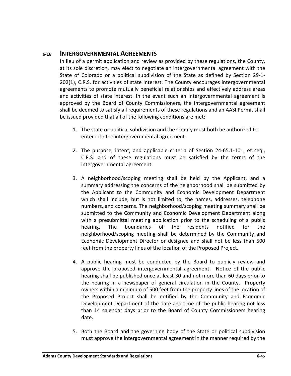### <span id="page-49-0"></span>**6-16 INTERGOVERNMENTAL AGREEMENTS**

In lieu of a permit application and review as provided by these regulations, the County, at its sole discretion, may elect to negotiate an intergovernmental agreement with the State of Colorado or a political subdivision of the State as defined by Section 29-1- 202(1), C.R.S. for activities of state interest. The County encourages intergovernmental agreements to promote mutually beneficial relationships and effectively address areas and activities of state interest. In the event such an intergovernmental agreement is approved by the Board of County Commissioners, the intergovernmental agreement shall be deemed to satisfy all requirements of these regulations and an AASI Permit shall be issued provided that all of the following conditions are met:

- 1. The state or political subdivision and the County must both be authorized to enter into the intergovernmental agreement.
- 2. The purpose, intent, and applicable criteria of Section 24-65.1-101, et seq., C.R.S. and of these regulations must be satisfied by the terms of the intergovernmental agreement.
- 3. A neighborhood/scoping meeting shall be held by the Applicant, and a summary addressing the concerns of the neighborhood shall be submitted by the Applicant to the Community and Economic Development Department which shall include, but is not limited to, the names, addresses, telephone numbers, and concerns. The neighborhood/scoping meeting summary shall be submitted to the Community and Economic Development Department along with a presubmittal meeting application prior to the scheduling of a public hearing. The boundaries of the residents notified for the neighborhood/scoping meeting shall be determined by the Community and Economic Development Director or designee and shall not be less than 500 feet from the property lines of the location of the Proposed Project.
- 4. A public hearing must be conducted by the Board to publicly review and approve the proposed intergovernmental agreement. Notice of the public hearing shall be published once at least 30 and not more than 60 days prior to the hearing in a newspaper of general circulation in the County. Property owners within a minimum of 500 feet from the property lines of the location of the Proposed Project shall be notified by the Community and Economic Development Department of the date and time of the public hearing not less than 14 calendar days prior to the Board of County Commissioners hearing date.
- 5. Both the Board and the governing body of the State or political subdivision must approve the intergovernmental agreement in the manner required by the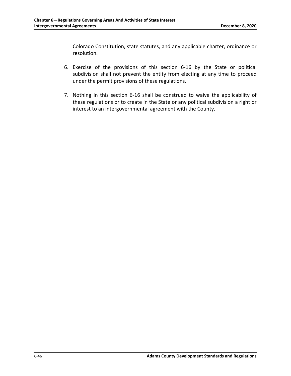Colorado Constitution, state statutes, and any applicable charter, ordinance or resolution.

- 6. Exercise of the provisions of this section 6-16 by the State or political subdivision shall not prevent the entity from electing at any time to proceed under the permit provisions of these regulations.
- 7. Nothing in this section 6-16 shall be construed to waive the applicability of these regulations or to create in the State or any political subdivision a right or interest to an intergovernmental agreement with the County.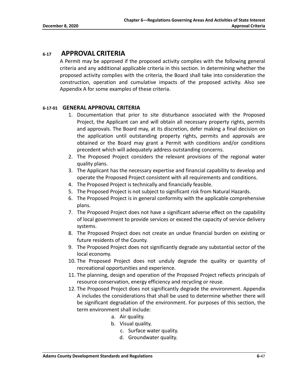### **6-17 APPROVAL CRITERIA**

<span id="page-51-0"></span>A Permit may be approved if the proposed activity complies with the following general criteria and any additional applicable criteria in this section. In determining whether the proposed activity complies with the criteria, the Board shall take into consideration the construction, operation and cumulative impacts of the proposed activity. Also see Appendix A for some examples of these criteria.

### **6-17-01 GENERAL APPROVAL CRITERIA**

- <span id="page-51-1"></span>1. Documentation that prior to site disturbance associated with the Proposed Project, the Applicant can and will obtain all necessary property rights, permits and approvals. The Board may, at its discretion, defer making a final decision on the application until outstanding property rights, permits and approvals are obtained or the Board may grant a Permit with conditions and/or conditions precedent which will adequately address outstanding concerns.
- 2. The Proposed Project considers the relevant provisions of the regional water quality plans.
- 3. The Applicant has the necessary expertise and financial capability to develop and operate the Proposed Project consistent with all requirements and conditions.
- 4. The Proposed Project is technically and financially feasible.
- 5. The Proposed Project is not subject to significant risk from Natural Hazards.
- 6. The Proposed Project is in general conformity with the applicable comprehensive plans.
- 7. The Proposed Project does not have a significant adverse effect on the capability of local government to provide services or exceed the capacity of service delivery systems.
- 8. The Proposed Project does not create an undue financial burden on existing or future residents of the County.
- 9. The Proposed Project does not significantly degrade any substantial sector of the local economy.
- 10. The Proposed Project does not unduly degrade the quality or quantity of recreational opportunities and experience.
- 11. The planning, design and operation of the Proposed Project reflects principals of resource conservation, energy efficiency and recycling or reuse.
- 12. The Proposed Project does not significantly degrade the environment. Appendix A includes the considerations that shall be used to determine whether there will be significant degradation of the environment. For purposes of this section, the term environment shall include:
	- a. Air quality.
	- b. Visual quality.
		- c. Surface water quality.
		- d. Groundwater quality.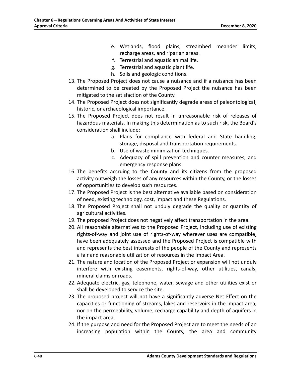- e. Wetlands, flood plains, streambed meander limits, recharge areas, and riparian areas.
- f. Terrestrial and aquatic animal life.
- g. Terrestrial and aquatic plant life.
- h. Soils and geologic conditions.
- 13. The Proposed Project does not cause a nuisance and if a nuisance has been determined to be created by the Proposed Project the nuisance has been mitigated to the satisfaction of the County.
- 14. The Proposed Project does not significantly degrade areas of paleontological, historic, or archaeological importance.
- 15. The Proposed Project does not result in unreasonable risk of releases of hazardous materials. In making this determination as to such risk, the Board's consideration shall include:
	- a. Plans for compliance with federal and State handling, storage, disposal and transportation requirements.
	- b. Use of waste minimization techniques.
	- c. Adequacy of spill prevention and counter measures, and emergency response plans.
- 16. The benefits accruing to the County and its citizens from the proposed activity outweigh the losses of any resources within the County, or the losses of opportunities to develop such resources.
- 17. The Proposed Project is the best alternative available based on consideration of need, existing technology, cost, impact and these Regulations.
- 18. The Proposed Project shall not unduly degrade the quality or quantity of agricultural activities.
- 19. The proposed Project does not negatively affect transportation in the area.
- 20. All reasonable alternatives to the Proposed Project, including use of existing rights-of-way and joint use of rights-of-way wherever uses are compatible, have been adequately assessed and the Proposed Project is compatible with and represents the best interests of the people of the County and represents a fair and reasonable utilization of resources in the Impact Area.
- 21. The nature and location of the Proposed Project or expansion will not unduly interfere with existing easements, rights-of-way, other utilities, canals, mineral claims or roads.
- 22. Adequate electric, gas, telephone, water, sewage and other utilities exist or shall be developed to service the site.
- 23. The proposed project will not have a significantly adverse Net Effect on the capacities or functioning of streams, lakes and reservoirs in the impact area, nor on the permeability, volume, recharge capability and depth of aquifers in the impact area.
- 24. If the purpose and need for the Proposed Project are to meet the needs of an increasing population within the County, the area and community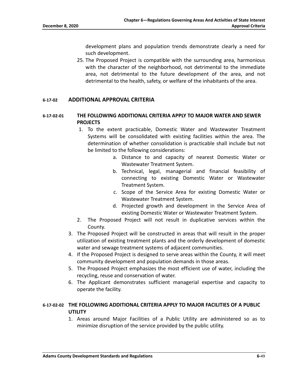development plans and population trends demonstrate clearly a need for such development.

25. The Proposed Project is compatible with the surrounding area, harmonious with the character of the neighborhood, not detrimental to the immediate area, not detrimental to the future development of the area, and not detrimental to the health, safety, or welfare of the inhabitants of the area.

### <span id="page-53-0"></span>**6-17-02 ADDITIONAL APPROVAL CRITERIA**

### **6-17-02-01 THE FOLLOWING ADDITIONAL CRITERIA APPLY TO MAJOR WATER AND SEWER PROJECTS**

- 1. To the extent practicable, Domestic Water and Wastewater Treatment Systems will be consolidated with existing facilities within the area. The determination of whether consolidation is practicable shall include but not be limited to the following considerations:
	- a. Distance to and capacity of nearest Domestic Water or Wastewater Treatment System.
	- b. Technical, legal, managerial and financial feasibility of connecting to existing Domestic Water or Wastewater Treatment System.
	- c. Scope of the Service Area for existing Domestic Water or Wastewater Treatment System.
	- d. Projected growth and development in the Service Area of existing Domestic Water or Wastewater Treatment System.
- 2. The Proposed Project will not result in duplicative services within the County.
- 3. The Proposed Project will be constructed in areas that will result in the proper utilization of existing treatment plants and the orderly development of domestic water and sewage treatment systems of adjacent communities.
- 4. If the Proposed Project is designed to serve areas within the County, it will meet community development and population demands in those areas.
- 5. The Proposed Project emphasizes the most efficient use of water, including the recycling, reuse and conservation of water.
- 6. The Applicant demonstrates sufficient managerial expertise and capacity to operate the facility.

### **6-17-02-02 THE FOLLOWING ADDITIONAL CRITERIA APPLY TO MAJOR FACILITIES OF A PUBLIC UTILITY**

1. Areas around Major Facilities of a Public Utility are administered so as to minimize disruption of the service provided by the public utility.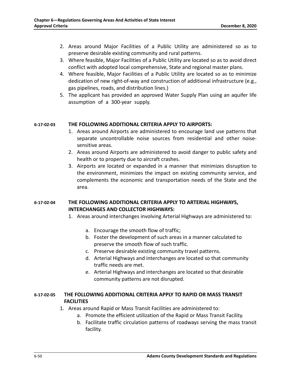- 2. Areas around Major Facilities of a Public Utility are administered so as to preserve desirable existing community and rural patterns.
- 3. Where feasible, Major Facilities of a Public Utility are located so as to avoid direct conflict with adopted local comprehensive, State and regional master plans.
- 4. Where feasible, Major Facilities of a Public Utility are located so as to minimize dedication of new right-of-way and construction of additional infrastructure (e.g., gas pipelines, roads, and distribution lines.)
- 5. The applicant has provided an approved Water Supply Plan using an aquifer life assumption of a 300-year supply.

#### **6-17-02-03 THE FOLLOWING ADDITIONAL CRITERIA APPLY TO AIRPORTS:**

- 1. Areas around Airports are administered to encourage land use patterns that separate uncontrollable noise sources from residential and other noisesensitive areas.
- 2. Areas around Airports are administered to avoid danger to public safety and health or to property due to aircraft crashes.
- 3. Airports are located or expanded in a manner that minimizes disruption to the environment, minimizes the impact on existing community service, and complements the economic and transportation needs of the State and the area.

### **6-17-02-04 THE FOLLOWING ADDITIONAL CRITERIA APPLY TO ARTERIAL HIGHWAYS, INTERCHANGES AND COLLECTOR HIGHWAYS:**

- 1. Areas around interchanges involving Arterial Highways are administered to:
	- a. Encourage the smooth flow of traffic;
	- b. Foster the development of such areas in a manner calculated to preserve the smooth flow of such traffic.
	- c. Preserve desirable existing community travel patterns.
	- d. Arterial Highways and interchanges are located so that community traffic needs are met.
	- e. Arterial Highways and interchanges are located so that desirable community patterns are not disrupted.

### **6-17-02-05 THE FOLLOWING ADDITIONAL CRITERIA APPLY TO RAPID OR MASS TRANSIT FACILITIES**

- 1. Areas around Rapid or Mass Transit Facilities are administered to:
	- a. Promote the efficient utilization of the Rapid or Mass Transit Facility.
	- b. Facilitate traffic circulation patterns of roadways serving the mass transit facility.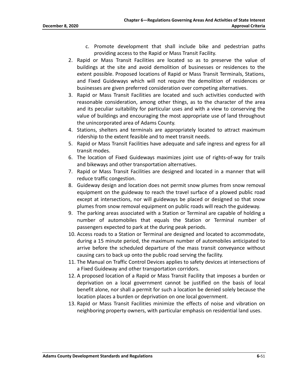- c. Promote development that shall include bike and pedestrian paths providing access to the Rapid or Mass Transit Facility.
- 2. Rapid or Mass Transit Facilities are located so as to preserve the value of buildings at the site and avoid demolition of businesses or residences to the extent possible. Proposed locations of Rapid or Mass Transit Terminals, Stations, and Fixed Guideways which will not require the demolition of residences or businesses are given preferred consideration over competing alternatives.
- 3. Rapid or Mass Transit Facilities are located and such activities conducted with reasonable consideration, among other things, as to the character of the area and its peculiar suitability for particular uses and with a view to conserving the value of buildings and encouraging the most appropriate use of land throughout the unincorporated area of Adams County.
- 4. Stations, shelters and terminals are appropriately located to attract maximum ridership to the extent feasible and to meet transit needs.
- 5. Rapid or Mass Transit Facilities have adequate and safe ingress and egress for all transit modes.
- 6. The location of Fixed Guideways maximizes joint use of rights-of-way for trails and bikeways and other transportation alternatives.
- 7. Rapid or Mass Transit Facilities are designed and located in a manner that will reduce traffic congestion.
- 8. Guideway design and location does not permit snow plumes from snow removal equipment on the guideway to reach the travel surface of a plowed public road except at intersections, nor will guideways be placed or designed so that snow plumes from snow removal equipment on public roads will reach the guideway.
- 9. The parking areas associated with a Station or Terminal are capable of holding a number of automobiles that equals the Station or Terminal number of passengers expected to park at the during peak periods.
- 10. Access roads to a Station or Terminal are designed and located to accommodate, during a 15 minute period, the maximum number of automobiles anticipated to arrive before the scheduled departure of the mass transit conveyance without causing cars to back up onto the public road serving the facility.
- 11. The Manual on Traffic Control Devices applies to safety devices at intersections of a Fixed Guideway and other transportation corridors.
- 12. A proposed location of a Rapid or Mass Transit Facility that imposes a burden or deprivation on a local government cannot be justified on the basis of local benefit alone, nor shall a permit for such a location be denied solely because the location places a burden or deprivation on one local government.
- 13. Rapid or Mass Transit Facilities minimize the effects of noise and vibration on neighboring property owners, with particular emphasis on residential land uses.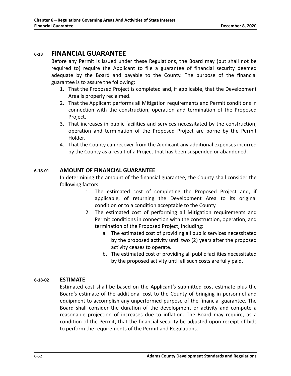### <span id="page-56-0"></span>**6-18 FINANCIAL GUARANTEE**

Before any Permit is issued under these Regulations, the Board may (but shall not be required to) require the Applicant to file a guarantee of financial security deemed adequate by the Board and payable to the County. The purpose of the financial guarantee is to assure the following:

- 1. That the Proposed Project is completed and, if applicable, that the Development Area is properly reclaimed.
- 2. That the Applicant performs all Mitigation requirements and Permit conditions in connection with the construction, operation and termination of the Proposed Project.
- 3. That increases in public facilities and services necessitated by the construction, operation and termination of the Proposed Project are borne by the Permit Holder.
- 4. That the County can recover from the Applicant any additional expenses incurred by the County as a result of a Project that has been suspended or abandoned.

### <span id="page-56-1"></span>**6-18-01 AMOUNT OF FINANCIAL GUARANTEE**

In determining the amount of the financial guarantee, the County shall consider the following factors:

- 1. The estimated cost of completing the Proposed Project and, if applicable, of returning the Development Area to its original condition or to a condition acceptable to the County.
- 2. The estimated cost of performing all Mitigation requirements and Permit conditions in connection with the construction, operation, and termination of the Proposed Project, including:
	- a. The estimated cost of providing all public services necessitated by the proposed activity until two (2) years after the proposed activity ceases to operate.
	- b. The estimated cost of providing all public facilities necessitated by the proposed activity until all such costs are fully paid.

### <span id="page-56-2"></span>**6-18-02 ESTIMATE**

Estimated cost shall be based on the Applicant's submitted cost estimate plus the Board's estimate of the additional cost to the County of bringing in personnel and equipment to accomplish any unperformed purpose of the financial guarantee. The Board shall consider the duration of the development or activity and compute a reasonable projection of increases due to inflation. The Board may require, as a condition of the Permit, that the financial security be adjusted upon receipt of bids to perform the requirements of the Permit and Regulations.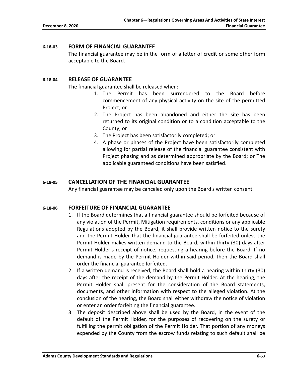#### <span id="page-57-0"></span>**6-18-03 FORM OF FINANCIAL GUARANTEE**

The financial guarantee may be in the form of a letter of credit or some other form acceptable to the Board.

### <span id="page-57-1"></span>**6-18-04 RELEASE OF GUARANTEE**

The financial guarantee shall be released when:

- 1. The Permit has been surrendered to the Board before commencement of any physical activity on the site of the permitted Project; or
- 2. The Project has been abandoned and either the site has been returned to its original condition or to a condition acceptable to the County; or
- 3. The Project has been satisfactorily completed; or
- 4. A phase or phases of the Project have been satisfactorily completed allowing for partial release of the financial guarantee consistent with Project phasing and as determined appropriate by the Board; or The applicable guaranteed conditions have been satisfied.

#### <span id="page-57-3"></span><span id="page-57-2"></span>**6-18-05 CANCELLATION OF THE FINANCIAL GUARANTEE**

Any financial guarantee may be canceled only upon the Board's written consent.

#### **6-18-06 FORFEITURE OF FINANCIAL GUARANTEE**

- 1. If the Board determines that a financial guarantee should be forfeited because of any violation of the Permit, Mitigation requirements, conditions or any applicable Regulations adopted by the Board, it shall provide written notice to the surety and the Permit Holder that the financial guarantee shall be forfeited unless the Permit Holder makes written demand to the Board, within thirty (30) days after Permit Holder's receipt of notice, requesting a hearing before the Board. If no demand is made by the Permit Holder within said period, then the Board shall order the financial guarantee forfeited.
- 2. If a written demand is received, the Board shall hold a hearing within thirty (30) days after the receipt of the demand by the Permit Holder. At the hearing, the Permit Holder shall present for the consideration of the Board statements, documents, and other information with respect to the alleged violation. At the conclusion of the hearing, the Board shall either withdraw the notice of violation or enter an order forfeiting the financial guarantee.
- 3. The deposit described above shall be used by the Board, in the event of the default of the Permit Holder, for the purposes of recovering on the surety or fulfilling the permit obligation of the Permit Holder. That portion of any moneys expended by the County from the escrow funds relating to such default shall be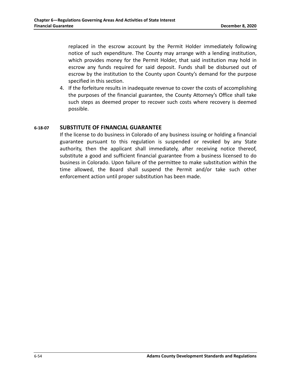replaced in the escrow account by the Permit Holder immediately following notice of such expenditure. The County may arrange with a lending institution, which provides money for the Permit Holder, that said institution may hold in escrow any funds required for said deposit. Funds shall be disbursed out of escrow by the institution to the County upon County's demand for the purpose specified in this section.

4. If the forfeiture results in inadequate revenue to cover the costs of accomplishing the purposes of the financial guarantee, the County Attorney's Office shall take such steps as deemed proper to recover such costs where recovery is deemed possible.

### <span id="page-58-0"></span>**6-18-07 SUBSTITUTE OF FINANCIAL GUARANTEE**

If the license to do business in Colorado of any business issuing or holding a financial guarantee pursuant to this regulation is suspended or revoked by any State authority, then the applicant shall immediately, after receiving notice thereof, substitute a good and sufficient financial guarantee from a business licensed to do business in Colorado. Upon failure of the permittee to make substitution within the time allowed, the Board shall suspend the Permit and/or take such other enforcement action until proper substitution has been made.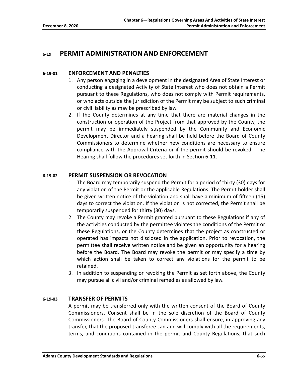# <span id="page-59-1"></span><span id="page-59-0"></span>**6-19 PERMIT ADMINISTRATION AND ENFORCEMENT**

### **6-19-01 ENFORCEMENT AND PENALTIES**

- 1. Any person engaging in a development in the designated Area of State Interest or conducting a designated Activity of State Interest who does not obtain a Permit pursuant to these Regulations, who does not comply with Permit requirements, or who acts outside the jurisdiction of the Permit may be subject to such criminal or civil liability as may be prescribed by law.
- 2. If the County determines at any time that there are material changes in the construction or operation of the Project from that approved by the County, the permit may be immediately suspended by the Community and Economic Development Director and a hearing shall be held before the Board of County Commissioners to determine whether new conditions are necessary to ensure compliance with the Approval Criteria or if the permit should be revoked. The Hearing shall follow the procedures set forth in Section 6-11.

### <span id="page-59-2"></span>**6-19-02 PERMIT SUSPENSION OR REVOCATION**

- 1. The Board may temporarily suspend the Permit for a period of thirty (30) days for any violation of the Permit or the applicable Regulations. The Permit holder shall be given written notice of the violation and shall have a minimum of fifteen (15) days to correct the violation. If the violation is not corrected, the Permit shall be temporarily suspended for thirty (30) days.
- 2. The County may revoke a Permit granted pursuant to these Regulations if any of the activities conducted by the permittee violates the conditions of the Permit or these Regulations, or the County determines that the project as constructed or operated has impacts not disclosed in the application. Prior to revocation, the permittee shall receive written notice and be given an opportunity for a hearing before the Board. The Board may revoke the permit or may specify a time by which action shall be taken to correct any violations for the permit to be retained.
- 3. In addition to suspending or revoking the Permit as set forth above, the County may pursue all civil and/or criminal remedies as allowed by law.

### <span id="page-59-3"></span>**6-19-03 TRANSFER OF PERMITS**

A permit may be transferred only with the written consent of the Board of County Commissioners. Consent shall be in the sole discretion of the Board of County Commissioners. The Board of County Commissioners shall ensure, in approving any transfer, that the proposed transferee can and will comply with all the requirements, terms, and conditions contained in the permit and County Regulations; that such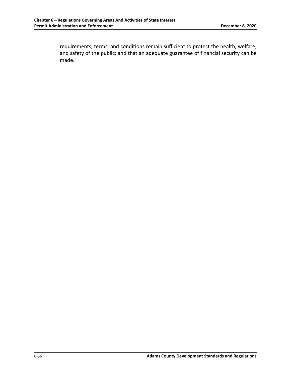requirements, terms, and conditions remain sufficient to protect the health, welfare, and safety of the public; and that an adequate guarantee of financial security can be made.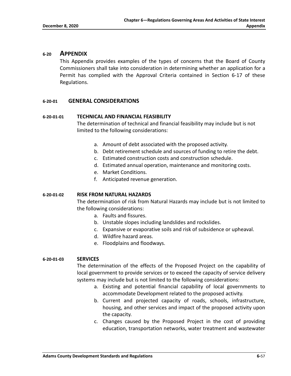### <span id="page-61-0"></span>**6-20 APPENDIX**

This Appendix provides examples of the types of concerns that the Board of County Commissioners shall take into consideration in determining whether an application for a Permit has complied with the Approval Criteria contained in Section 6-17 of these Regulations.

### <span id="page-61-1"></span>**6-20-01 GENERAL CONSIDERATIONS**

### **6-20-01-01 TECHNICAL AND FINANCIAL FEASIBILITY**

The determination of technical and financial feasibility may include but is not limited to the following considerations:

- a. Amount of debt associated with the proposed activity.
- b. Debt retirement schedule and sources of funding to retire the debt.
- c. Estimated construction costs and construction schedule.
- d. Estimated annual operation, maintenance and monitoring costs.
- e. Market Conditions.
- f. Anticipated revenue generation.

#### **6-20-01-02 RISK FROM NATURAL HAZARDS**

The determination of risk from Natural Hazards may include but is not limited to the following considerations:

- a. Faults and fissures.
- b. Unstable slopes including landslides and rockslides.
- c. Expansive or evaporative soils and risk of subsidence or upheaval.
- d. Wildfire hazard areas.
- e. Floodplains and floodways.

#### **6-20-01-03 SERVICES**

The determination of the effects of the Proposed Project on the capability of local government to provide services or to exceed the capacity of service delivery systems may include but is not limited to the following considerations:

- a. Existing and potential financial capability of local governments to accommodate Development related to the proposed activity.
- b. Current and projected capacity of roads, schools, infrastructure, housing, and other services and impact of the proposed activity upon the capacity.
- c. Changes caused by the Proposed Project in the cost of providing education, transportation networks, water treatment and wastewater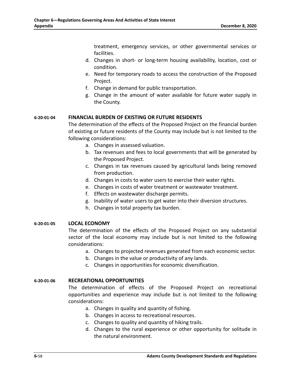treatment, emergency services, or other governmental services or facilities.

- d. Changes in short- or long-term housing availability, location, cost or condition.
- e. Need for temporary roads to access the construction of the Proposed Project.
- f. Change in demand for public transportation.
- g. Change in the amount of water available for future water supply in the County.

### **6-20-01-04 FINANCIAL BURDEN OF EXISTING OR FUTURE RESIDENTS**

The determination of the effects of the Proposed Project on the financial burden of existing or future residents of the County may include but is not limited to the following considerations:

- a. Changes in assessed valuation.
- b. Tax revenues and fees to local governments that will be generated by the Proposed Project.
- c. Changes in tax revenues caused by agricultural lands being removed from production.
- d. Changes in costs to water users to exercise their water rights.
- e. Changes in costs of water treatment or wastewater treatment.
- f. Effects on wastewater discharge permits.
- g. Inability of water users to get water into their diversion structures.
- h. Changes in total property tax burden.

### **6-20-01-05 LOCAL ECONOMY**

The determination of the effects of the Proposed Project on any substantial sector of the local economy may include but is not limited to the following considerations:

- a. Changes to projected revenues generated from each economic sector.
- b. Changes in the value or productivity of any lands.
- c. Changes in opportunities for economic diversification.

### **6-20-01-06 RECREATIONAL OPPORTUNITIES**

The determination of effects of the Proposed Project on recreational opportunities and experience may include but is not limited to the following considerations:

- a. Changes in quality and quantity of fishing.
- b. Changes in access to recreational resources.
- c. Changes to quality and quantity of hiking trails.
- d. Changes to the rural experience or other opportunity for solitude in the natural environment.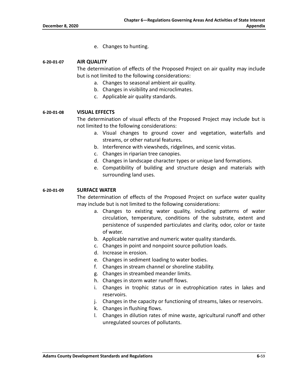e. Changes to hunting.

### **6-20-01-07 AIR QUALITY**

The determination of effects of the Proposed Project on air quality may include but is not limited to the following considerations:

- a. Changes to seasonal ambient air quality.
- b. Changes in visibility and microclimates.
- c. Applicable air quality standards.

#### **6-20-01-08 VISUAL EFFECTS**

The determination of visual effects of the Proposed Project may include but is not limited to the following considerations:

- a. Visual changes to ground cover and vegetation, waterfalls and streams, or other natural features.
- b. Interference with viewsheds, ridgelines, and scenic vistas.
- c. Changes in riparian tree canopies.
- d. Changes in landscape character types or unique land formations.
- e. Compatibility of building and structure design and materials with surrounding land uses.

#### **6-20-01-09 SURFACE WATER**

The determination of effects of the Proposed Project on surface water quality may include but is not limited to the following considerations:

- a. Changes to existing water quality, including patterns of water circulation, temperature, conditions of the substrate, extent and persistence of suspended particulates and clarity, odor, color or taste of water.
- b. Applicable narrative and numeric water quality standards.
- c. Changes in point and nonpoint source pollution loads.
- d. Increase in erosion.
- e. Changes in sediment loading to water bodies.
- f. Changes in stream channel or shoreline stability.
- g. Changes in streambed meander limits.
- h. Changes in storm water runoff flows.
- i. Changes in trophic status or in eutrophication rates in lakes and reservoirs.
- j. Changes in the capacity or functioning of streams, lakes or reservoirs.
- k. Changes in flushing flows.
- l. Changes in dilution rates of mine waste, agricultural runoff and other unregulated sources of pollutants.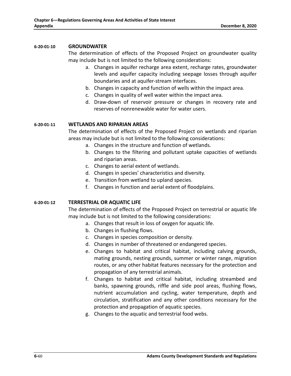#### **6-20-01-10 GROUNDWATER**

The determination of effects of the Proposed Project on groundwater quality may include but is not limited to the following considerations:

- a. Changes in aquifer recharge area extent, recharge rates, groundwater levels and aquifer capacity including seepage losses through aquifer boundaries and at aquifer-stream interfaces.
- b. Changes in capacity and function of wells within the impact area.
- c. Changes in quality of well water within the impact area.
- d. Draw-down of reservoir pressure or changes in recovery rate and reserves of nonrenewable water for water users.

#### **6-20-01-11 WETLANDS AND RIPARIAN AREAS**

The determination of effects of the Proposed Project on wetlands and riparian areas may include but is not limited to the following considerations:

- a. Changes in the structure and function of wetlands.
- b. Changes to the filtering and pollutant uptake capacities of wetlands and riparian areas.
- c. Changes to aerial extent of wetlands.
- d. Changes in species' characteristics and diversity.
- e. Transition from wetland to upland species.
- f. Changes in function and aerial extent of floodplains.

### **6-20-01-12 TERRESTRIAL OR AQUATIC LIFE**

The determination of effects of the Proposed Project on terrestrial or aquatic life may include but is not limited to the following considerations:

- a. Changes that result in loss of oxygen for aquatic life.
- b. Changes in flushing flows.
- c. Changes in species composition or density.
- d. Changes in number of threatened or endangered species.
- e. Changes to habitat and critical habitat, including calving grounds, mating grounds, nesting grounds, summer or winter range, migration routes, or any other habitat features necessary for the protection and propagation of any terrestrial animals.
- f. Changes to habitat and critical habitat, including streambed and banks, spawning grounds, riffle and side pool areas, flushing flows, nutrient accumulation and cycling, water temperature, depth and circulation, stratification and any other conditions necessary for the protection and propagation of aquatic species.
- g. Changes to the aquatic and terrestrial food webs.